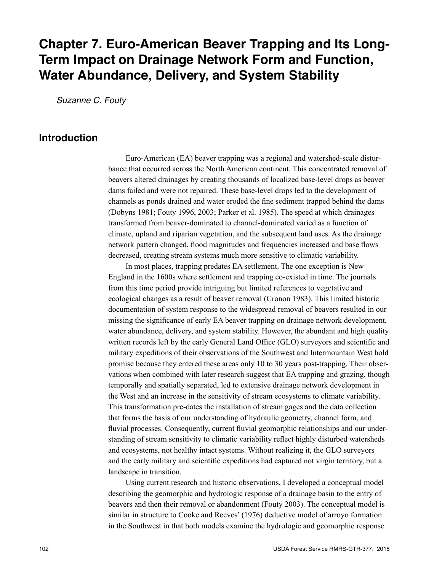# **Chapter 7. Euro-American Beaver Trapping and Its Long-Term Impact on Drainage Network Form and Function, Water Abundance, Delivery, and System Stability**

*Suzanne C. Fouty*

### **Introduction**

Euro-American (EA) beaver trapping was a regional and watershed-scale disturbance that occurred across the North American continent. This concentrated removal of beavers altered drainages by creating thousands of localized base-level drops as beaver dams failed and were not repaired. These base-level drops led to the development of channels as ponds drained and water eroded the fine sediment trapped behind the dams (Dobyns 1981; Fouty 1996, 2003; Parker et al. 1985). The speed at which drainages transformed from beaver-dominated to channel-dominated varied as a function of climate, upland and riparian vegetation, and the subsequent land uses. As the drainage network pattern changed, flood magnitudes and frequencies increased and base flows decreased, creating stream systems much more sensitive to climatic variability.

In most places, trapping predates EA settlement. The one exception is New England in the 1600s where settlement and trapping co-existed in time. The journals from this time period provide intriguing but limited references to vegetative and ecological changes as a result of beaver removal (Cronon 1983). This limited historic documentation of system response to the widespread removal of beavers resulted in our missing the significance of early EA beaver trapping on drainage network development, water abundance, delivery, and system stability. However, the abundant and high quality written records left by the early General Land Office (GLO) surveyors and scientific and military expeditions of their observations of the Southwest and Intermountain West hold promise because they entered these areas only 10 to 30 years post-trapping. Their observations when combined with later research suggest that EA trapping and grazing, though temporally and spatially separated, led to extensive drainage network development in the West and an increase in the sensitivity of stream ecosystems to climate variability. This transformation pre-dates the installation of stream gages and the data collection that forms the basis of our understanding of hydraulic geometry, channel form, and fluvial processes. Consequently, current fluvial geomorphic relationships and our understanding of stream sensitivity to climatic variability reflect highly disturbed watersheds and ecosystems, not healthy intact systems. Without realizing it, the GLO surveyors and the early military and scientific expeditions had captured not virgin territory, but a landscape in transition.

Using current research and historic observations, I developed a conceptual model describing the geomorphic and hydrologic response of a drainage basin to the entry of beavers and then their removal or abandonment (Fouty 2003). The conceptual model is similar in structure to Cooke and Reeves' (1976) deductive model of arroyo formation in the Southwest in that both models examine the hydrologic and geomorphic response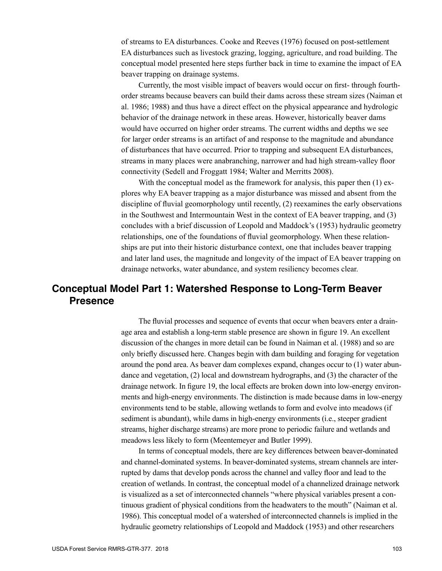of streams to EA disturbances. Cooke and Reeves (1976) focused on post-settlement EA disturbances such as livestock grazing, logging, agriculture, and road building. The conceptual model presented here steps further back in time to examine the impact of EA beaver trapping on drainage systems.

Currently, the most visible impact of beavers would occur on first- through fourthorder streams because beavers can build their dams across these stream sizes (Naiman et al. 1986; 1988) and thus have a direct effect on the physical appearance and hydrologic behavior of the drainage network in these areas. However, historically beaver dams would have occurred on higher order streams. The current widths and depths we see for larger order streams is an artifact of and response to the magnitude and abundance of disturbances that have occurred. Prior to trapping and subsequent EA disturbances, streams in many places were anabranching, narrower and had high stream-valley floor connectivity (Sedell and Froggatt 1984; Walter and Merritts 2008).

With the conceptual model as the framework for analysis, this paper then (1) explores why EA beaver trapping as a major disturbance was missed and absent from the discipline of fluvial geomorphology until recently, (2) reexamines the early observations in the Southwest and Intermountain West in the context of EA beaver trapping, and (3) concludes with a brief discussion of Leopold and Maddock's (1953) hydraulic geometry relationships, one of the foundations of fluvial geomorphology. When these relationships are put into their historic disturbance context, one that includes beaver trapping and later land uses, the magnitude and longevity of the impact of EA beaver trapping on drainage networks, water abundance, and system resiliency becomes clear.

### **Conceptual Model Part 1: Watershed Response to Long-Term Beaver Presence**

The fluvial processes and sequence of events that occur when beavers enter a drainage area and establish a long-term stable presence are shown in figure 19. An excellent discussion of the changes in more detail can be found in Naiman et al. (1988) and so are only briefly discussed here. Changes begin with dam building and foraging for vegetation around the pond area. As beaver dam complexes expand, changes occur to (1) water abundance and vegetation, (2) local and downstream hydrographs, and (3) the character of the drainage network. In figure 19, the local effects are broken down into low-energy environments and high-energy environments. The distinction is made because dams in low-energy environments tend to be stable, allowing wetlands to form and evolve into meadows (if sediment is abundant), while dams in high-energy environments (i.e., steeper gradient streams, higher discharge streams) are more prone to periodic failure and wetlands and meadows less likely to form (Meentemeyer and Butler 1999).

In terms of conceptual models, there are key differences between beaver-dominated and channel-dominated systems. In beaver-dominated systems, stream channels are interrupted by dams that develop ponds across the channel and valley floor and lead to the creation of wetlands. In contrast, the conceptual model of a channelized drainage network is visualized as a set of interconnected channels "where physical variables present a continuous gradient of physical conditions from the headwaters to the mouth" (Naiman et al. 1986). This conceptual model of a watershed of interconnected channels is implied in the hydraulic geometry relationships of Leopold and Maddock (1953) and other researchers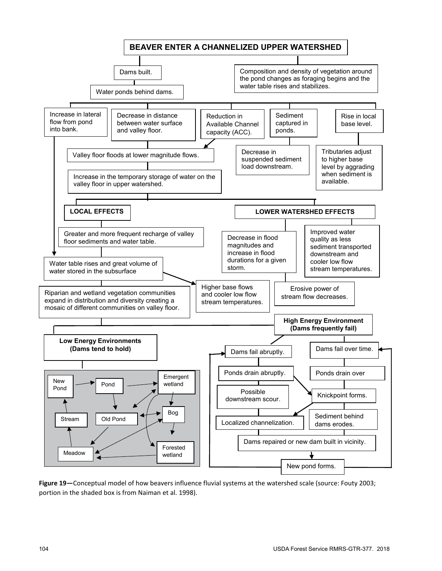

**Figure 19—**Conceptual model of how beavers influence fluvial systems at the watershed scale (source: Fouty 2003; portion in the shaded box is from Naiman et al. 1998).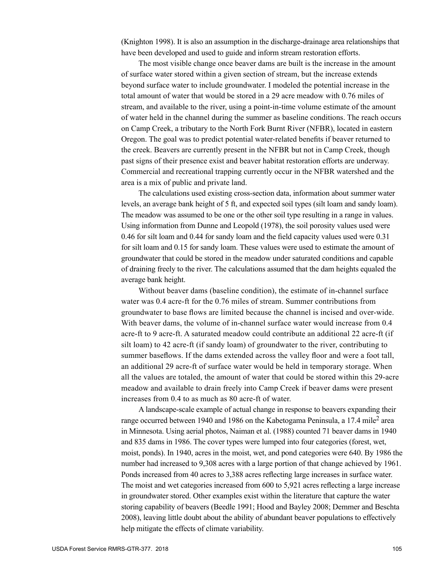(Knighton 1998). It is also an assumption in the discharge-drainage area relationships that have been developed and used to guide and inform stream restoration efforts.

The most visible change once beaver dams are built is the increase in the amount of surface water stored within a given section of stream, but the increase extends beyond surface water to include groundwater. I modeled the potential increase in the total amount of water that would be stored in a 29 acre meadow with 0.76 miles of stream, and available to the river, using a point-in-time volume estimate of the amount of water held in the channel during the summer as baseline conditions. The reach occurs on Camp Creek, a tributary to the North Fork Burnt River (NFBR), located in eastern Oregon. The goal was to predict potential water-related benefits if beaver returned to the creek. Beavers are currently present in the NFBR but not in Camp Creek, though past signs of their presence exist and beaver habitat restoration efforts are underway. Commercial and recreational trapping currently occur in the NFBR watershed and the area is a mix of public and private land.

The calculations used existing cross-section data, information about summer water levels, an average bank height of 5 ft, and expected soil types (silt loam and sandy loam). The meadow was assumed to be one or the other soil type resulting in a range in values. Using information from Dunne and Leopold (1978), the soil porosity values used were 0.46 for silt loam and 0.44 for sandy loam and the field capacity values used were 0.31 for silt loam and 0.15 for sandy loam. These values were used to estimate the amount of groundwater that could be stored in the meadow under saturated conditions and capable of draining freely to the river. The calculations assumed that the dam heights equaled the average bank height.

Without beaver dams (baseline condition), the estimate of in-channel surface water was 0.4 acre-ft for the 0.76 miles of stream. Summer contributions from groundwater to base flows are limited because the channel is incised and over-wide. With beaver dams, the volume of in-channel surface water would increase from 0.4 acre-ft to 9 acre-ft. A saturated meadow could contribute an additional 22 acre-ft (if silt loam) to 42 acre-ft (if sandy loam) of groundwater to the river, contributing to summer baseflows. If the dams extended across the valley floor and were a foot tall, an additional 29 acre-ft of surface water would be held in temporary storage. When all the values are totaled, the amount of water that could be stored within this 29-acre meadow and available to drain freely into Camp Creek if beaver dams were present increases from 0.4 to as much as 80 acre-ft of water.

A landscape-scale example of actual change in response to beavers expanding their range occurred between 1940 and 1986 on the Kabetogama Peninsula, a 17.4 mile<sup>2</sup> area in Minnesota. Using aerial photos, Naiman et al. (1988) counted 71 beaver dams in 1940 and 835 dams in 1986. The cover types were lumped into four categories (forest, wet, moist, ponds). In 1940, acres in the moist, wet, and pond categories were 640. By 1986 the number had increased to 9,308 acres with a large portion of that change achieved by 1961. Ponds increased from 40 acres to 3,388 acres reflecting large increases in surface water. The moist and wet categories increased from 600 to 5,921 acres reflecting a large increase in groundwater stored. Other examples exist within the literature that capture the water storing capability of beavers (Beedle 1991; Hood and Bayley 2008; Demmer and Beschta 2008), leaving little doubt about the ability of abundant beaver populations to effectively help mitigate the effects of climate variability.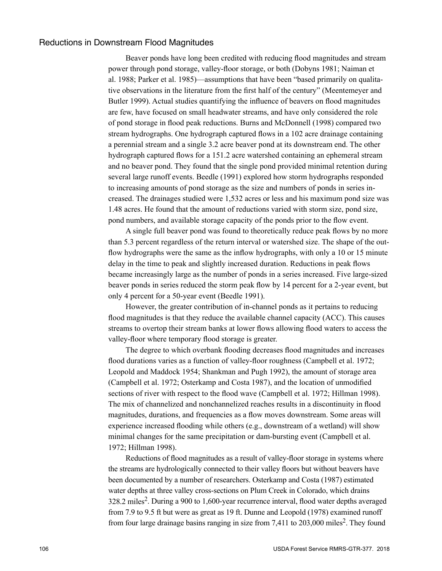### Reductions in Downstream Flood Magnitudes

Beaver ponds have long been credited with reducing flood magnitudes and stream power through pond storage, valley-floor storage, or both (Dobyns 1981; Naiman et al. 1988; Parker et al. 1985)—assumptions that have been "based primarily on qualitative observations in the literature from the first half of the century" (Meentemeyer and Butler 1999). Actual studies quantifying the influence of beavers on flood magnitudes are few, have focused on small headwater streams, and have only considered the role of pond storage in flood peak reductions. Burns and McDonnell (1998) compared two stream hydrographs. One hydrograph captured flows in a 102 acre drainage containing a perennial stream and a single 3.2 acre beaver pond at its downstream end. The other hydrograph captured flows for a 151.2 acre watershed containing an ephemeral stream and no beaver pond. They found that the single pond provided minimal retention during several large runoff events. Beedle (1991) explored how storm hydrographs responded to increasing amounts of pond storage as the size and numbers of ponds in series increased. The drainages studied were 1,532 acres or less and his maximum pond size was 1.48 acres. He found that the amount of reductions varied with storm size, pond size, pond numbers, and available storage capacity of the ponds prior to the flow event.

A single full beaver pond was found to theoretically reduce peak flows by no more than 5.3 percent regardless of the return interval or watershed size. The shape of the outflow hydrographs were the same as the inflow hydrographs, with only a 10 or 15 minute delay in the time to peak and slightly increased duration. Reductions in peak flows became increasingly large as the number of ponds in a series increased. Five large-sized beaver ponds in series reduced the storm peak flow by 14 percent for a 2-year event, but only 4 percent for a 50-year event (Beedle 1991).

However, the greater contribution of in-channel ponds as it pertains to reducing flood magnitudes is that they reduce the available channel capacity (ACC). This causes streams to overtop their stream banks at lower flows allowing flood waters to access the valley-floor where temporary flood storage is greater.

The degree to which overbank flooding decreases flood magnitudes and increases flood durations varies as a function of valley-floor roughness (Campbell et al. 1972; Leopold and Maddock 1954; Shankman and Pugh 1992), the amount of storage area (Campbell et al. 1972; Osterkamp and Costa 1987), and the location of unmodified sections of river with respect to the flood wave (Campbell et al. 1972; Hillman 1998). The mix of channelized and nonchannelized reaches results in a discontinuity in flood magnitudes, durations, and frequencies as a flow moves downstream. Some areas will experience increased flooding while others (e.g., downstream of a wetland) will show minimal changes for the same precipitation or dam-bursting event (Campbell et al. 1972; Hillman 1998).

Reductions of flood magnitudes as a result of valley-floor storage in systems where the streams are hydrologically connected to their valley floors but without beavers have been documented by a number of researchers. Osterkamp and Costa (1987) estimated water depths at three valley cross-sections on Plum Creek in Colorado, which drains 328.2 miles<sup>2</sup>. During a 900 to 1,600-year recurrence interval, flood water depths averaged from 7.9 to 9.5 ft but were as great as 19 ft. Dunne and Leopold (1978) examined runoff from four large drainage basins ranging in size from  $7.411$  to  $203,000$  miles<sup>2</sup>. They found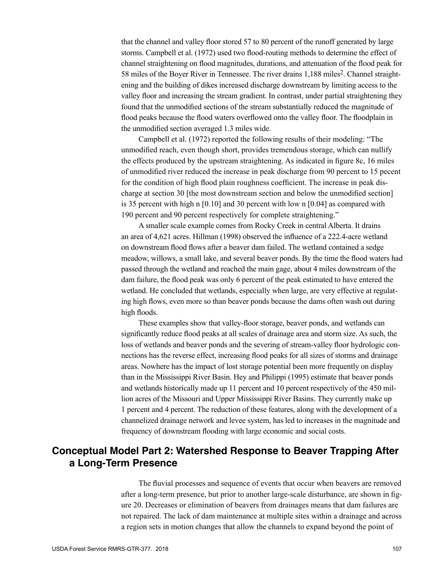that the channel and valley floor stored 57 to 80 percent of the runoff generated by large storms. Campbell et al. (1972) used two flood-routing methods to determine the effect of channel straightening on flood magnitudes, durations, and attenuation of the flood peak for 58 miles of the Boyer River in Tennessee. The river drains 1,188 miles<sup>2</sup>. Channel straightening and the building of dikes increased discharge downstream by limiting access to the valley floor and increasing the stream gradient. In contrast, under partial straightening they found that the unmodified sections of the stream substantially reduced the magnitude of flood peaks because the flood waters overflowed onto the valley floor. The floodplain in the unmodified section averaged 1.3 miles wide.

Campbell et al. (1972) reported the following results of their modeling: "The unmodified reach, even though short, provides tremendous storage, which can nullify the effects produced by the upstream straightening. As indicated in figure 8c, 16 miles of unmodified river reduced the increase in peak discharge from 90 percent to 15 pecent for the condition of high flood plain roughness coefficient. The increase in peak discharge at section 30 [the most downstream section and below the unmodified section] is 35 percent with high n [0.10] and 30 percent with low n [0.04] as compared with 190 percent and 90 percent respectively for complete straightening."

A smaller scale example comes from Rocky Creek in central Alberta. It drains an area of 4,621 acres. Hillman (1998) observed the influence of a 222.4-acre wetland on downstream flood flows after a beaver dam failed. The wetland contained a sedge meadow, willows, a small lake, and several beaver ponds. By the time the flood waters had passed through the wetland and reached the main gage, about 4 miles downstream of the dam failure, the flood peak was only 6 percent of the peak estimated to have entered the wetland. He concluded that wetlands, especially when large, are very effective at regulating high flows, even more so than beaver ponds because the dams often wash out during high floods.

These examples show that valley-floor storage, beaver ponds, and wetlands can significantly reduce flood peaks at all scales of drainage area and storm size. As such, the loss of wetlands and beaver ponds and the severing of stream-valley floor hydrologic connections has the reverse effect, increasing flood peaks for all sizes of storms and drainage areas. Nowhere has the impact of lost storage potential been more frequently on display than in the Mississippi River Basin. Hey and Philippi (1995) estimate that beaver ponds and wetlands historically made up 11 percent and 10 percent respectively of the 450 million acres of the Missouri and Upper Mississippi River Basins. They currently make up 1 percent and 4 percent. The reduction of these features, along with the development of a channelized drainage network and levee system, has led to increases in the magnitude and frequency of downstream flooding with large economic and social costs.

# **Conceptual Model Part 2: Watershed Response to Beaver Trapping After a Long-Term Presence**

The fluvial processes and sequence of events that occur when beavers are removed after a long-term presence, but prior to another large-scale disturbance, are shown in figure 20. Decreases or elimination of beavers from drainages means that dam failures are not repaired. The lack of dam maintenance at multiple sites within a drainage and across a region sets in motion changes that allow the channels to expand beyond the point of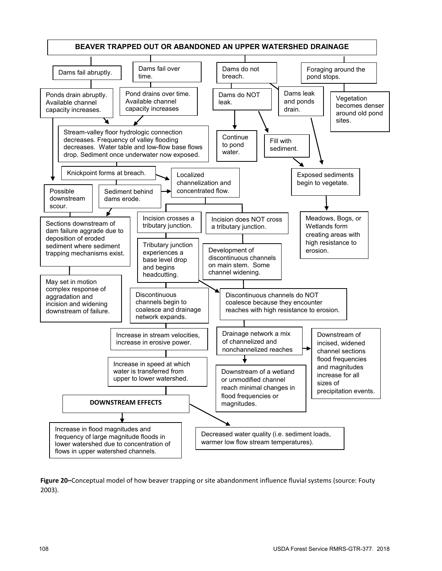

**Figure 20–**Conceptual model of how beaver trapping or site abandonment influence fluvial systems (source: Fouty 2003).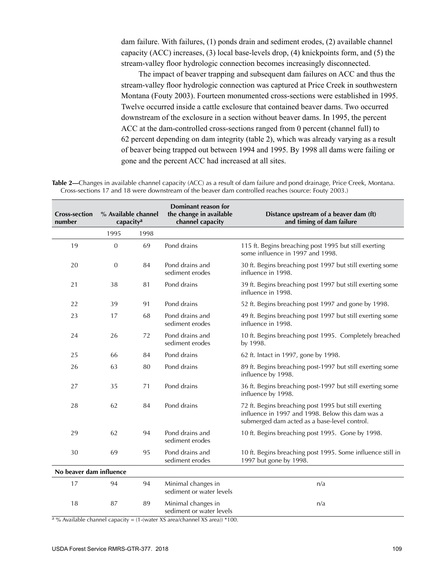dam failure. With failures, (1) ponds drain and sediment erodes, (2) available channel capacity (ACC) increases, (3) local base-levels drop, (4) knickpoints form, and (5) the stream-valley floor hydrologic connection becomes increasingly disconnected.

The impact of beaver trapping and subsequent dam failures on ACC and thus the stream-valley floor hydrologic connection was captured at Price Creek in southwestern Montana (Fouty 2003). Fourteen monumented cross-sections were established in 1995. Twelve occurred inside a cattle exclosure that contained beaver dams. Two occurred downstream of the exclosure in a section without beaver dams. In 1995, the percent ACC at the dam-controlled cross-sections ranged from 0 percent (channel full) to 62 percent depending on dam integrity (table 2), which was already varying as a result of beaver being trapped out between 1994 and 1995. By 1998 all dams were failing or gone and the percent ACC had increased at all sites.

**Table 2—**Changes in available channel capacity (ACC) as a result of dam failure and pond drainage, Price Creek, Montana. Cross-sections 17 and 18 were downstream of the beaver dam controlled reaches (source: Fouty 2003.)

| <b>Cross-section</b><br>number | % Available channel<br>capacity <sup>a</sup> |      | <b>Dominant reason for</b><br>the change in available<br>channel capacity | Distance upstream of a beaver dam (ft)<br>and timing of dam failure                                                                                      |  |
|--------------------------------|----------------------------------------------|------|---------------------------------------------------------------------------|----------------------------------------------------------------------------------------------------------------------------------------------------------|--|
|                                | 1995                                         | 1998 |                                                                           |                                                                                                                                                          |  |
| 19                             | $\boldsymbol{0}$                             | 69   | Pond drains                                                               | 115 ft. Begins breaching post 1995 but still exerting<br>some influence in 1997 and 1998.                                                                |  |
| 20                             | $\mathbf{0}$                                 | 84   | Pond drains and<br>sediment erodes                                        | 30 ft. Begins breaching post 1997 but still exerting some<br>influence in 1998.                                                                          |  |
| 21                             | 38                                           | 81   | Pond drains                                                               | 39 ft. Begins breaching post 1997 but still exerting some<br>influence in 1998.                                                                          |  |
| 22                             | 39                                           | 91   | Pond drains                                                               | 52 ft. Begins breaching post 1997 and gone by 1998.                                                                                                      |  |
| 23                             | 17                                           | 68   | Pond drains and<br>sediment erodes                                        | 49 ft. Begins breaching post 1997 but still exerting some<br>influence in 1998.                                                                          |  |
| 24                             | 26                                           | 72   | Pond drains and<br>sediment erodes                                        | 10 ft. Begins breaching post 1995. Completely breached<br>by 1998.                                                                                       |  |
| 25                             | 66                                           | 84   | Pond drains                                                               | 62 ft. Intact in 1997, gone by 1998.                                                                                                                     |  |
| 26                             | 63                                           | 80   | Pond drains                                                               | 89 ft. Begins breaching post-1997 but still exerting some<br>influence by 1998.                                                                          |  |
| 27                             | 35                                           | 71   | Pond drains                                                               | 36 ft. Begins breaching post-1997 but still exerting some<br>influence by 1998.                                                                          |  |
| 28                             | 62                                           | 84   | Pond drains                                                               | 72 ft. Begins breaching post 1995 but still exerting<br>influence in 1997 and 1998. Below this dam was a<br>submerged dam acted as a base-level control. |  |
| 29                             | 62                                           | 94   | Pond drains and<br>sediment erodes                                        | 10 ft. Begins breaching post 1995. Gone by 1998.                                                                                                         |  |
| 30                             | 69                                           | 95   | Pond drains and<br>sediment erodes                                        | 10 ft. Begins breaching post 1995. Some influence still in<br>1997 but gone by 1998.                                                                     |  |
| No beaver dam influence        |                                              |      |                                                                           |                                                                                                                                                          |  |
| 17                             | 94                                           | 94   | Minimal changes in<br>sediment or water levels                            | n/a                                                                                                                                                      |  |
| 18                             | 87                                           | 89   | Minimal changes in<br>sediment or water levels                            | n/a                                                                                                                                                      |  |

 $\frac{a}{a}$ % Available channel capacity = (1-(water XS area/channel XS area)) \*100.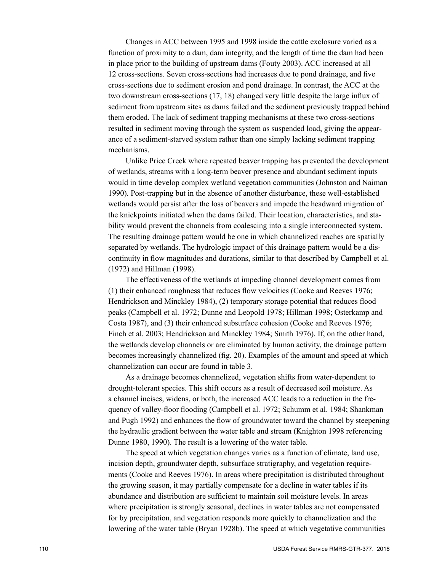Changes in ACC between 1995 and 1998 inside the cattle exclosure varied as a function of proximity to a dam, dam integrity, and the length of time the dam had been in place prior to the building of upstream dams (Fouty 2003). ACC increased at all 12 cross-sections. Seven cross-sections had increases due to pond drainage, and five cross-sections due to sediment erosion and pond drainage. In contrast, the ACC at the two downstream cross-sections (17, 18) changed very little despite the large influx of sediment from upstream sites as dams failed and the sediment previously trapped behind them eroded. The lack of sediment trapping mechanisms at these two cross-sections resulted in sediment moving through the system as suspended load, giving the appearance of a sediment-starved system rather than one simply lacking sediment trapping mechanisms.

Unlike Price Creek where repeated beaver trapping has prevented the development of wetlands, streams with a long-term beaver presence and abundant sediment inputs would in time develop complex wetland vegetation communities (Johnston and Naiman 1990). Post-trapping but in the absence of another disturbance, these well-established wetlands would persist after the loss of beavers and impede the headward migration of the knickpoints initiated when the dams failed. Their location, characteristics, and stability would prevent the channels from coalescing into a single interconnected system. The resulting drainage pattern would be one in which channelized reaches are spatially separated by wetlands. The hydrologic impact of this drainage pattern would be a discontinuity in flow magnitudes and durations, similar to that described by Campbell et al. (1972) and Hillman (1998).

The effectiveness of the wetlands at impeding channel development comes from (1) their enhanced roughness that reduces flow velocities (Cooke and Reeves 1976; Hendrickson and Minckley 1984), (2) temporary storage potential that reduces flood peaks (Campbell et al. 1972; Dunne and Leopold 1978; Hillman 1998; Osterkamp and Costa 1987), and (3) their enhanced subsurface cohesion (Cooke and Reeves 1976; Finch et al. 2003; Hendrickson and Minckley 1984; Smith 1976). If, on the other hand, the wetlands develop channels or are eliminated by human activity, the drainage pattern becomes increasingly channelized (fig. 20). Examples of the amount and speed at which channelization can occur are found in table 3.

As a drainage becomes channelized, vegetation shifts from water-dependent to drought-tolerant species. This shift occurs as a result of decreased soil moisture. As a channel incises, widens, or both, the increased ACC leads to a reduction in the frequency of valley-floor flooding (Campbell et al. 1972; Schumm et al. 1984; Shankman and Pugh 1992) and enhances the flow of groundwater toward the channel by steepening the hydraulic gradient between the water table and stream (Knighton 1998 referencing Dunne 1980, 1990). The result is a lowering of the water table.

The speed at which vegetation changes varies as a function of climate, land use, incision depth, groundwater depth, subsurface stratigraphy, and vegetation requirements (Cooke and Reeves 1976). In areas where precipitation is distributed throughout the growing season, it may partially compensate for a decline in water tables if its abundance and distribution are sufficient to maintain soil moisture levels. In areas where precipitation is strongly seasonal, declines in water tables are not compensated for by precipitation, and vegetation responds more quickly to channelization and the lowering of the water table (Bryan 1928b). The speed at which vegetative communities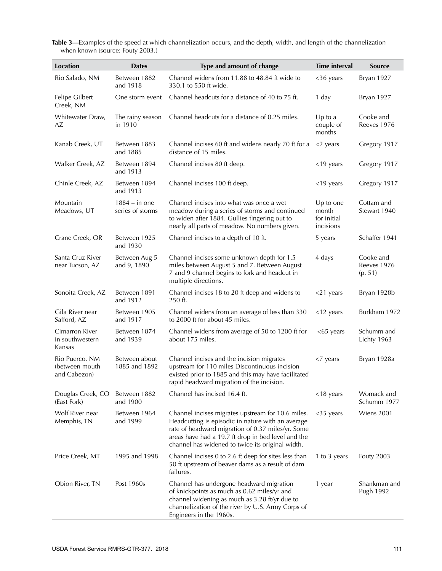| Location                                         | <b>Dates</b>                        | Type and amount of change                                                                                                                                                                                                                                             | <b>Time interval</b>                           | <b>Source</b>                       |
|--------------------------------------------------|-------------------------------------|-----------------------------------------------------------------------------------------------------------------------------------------------------------------------------------------------------------------------------------------------------------------------|------------------------------------------------|-------------------------------------|
| Rio Salado, NM                                   | Between 1882<br>and 1918            | Channel widens from 11.88 to 48.84 ft wide to<br>330.1 to 550 ft wide.                                                                                                                                                                                                | $<$ 36 years                                   | Bryan 1927                          |
| Felipe Gilbert<br>Creek, NM                      | One storm event                     | Channel headcuts for a distance of 40 to 75 ft.                                                                                                                                                                                                                       | 1 day                                          | Bryan 1927                          |
| Whitewater Draw,<br>AΖ                           | The rainy season<br>in 1910         | Channel headcuts for a distance of 0.25 miles.                                                                                                                                                                                                                        | $Up$ to a<br>couple of<br>months               | Cooke and<br>Reeves 1976            |
| Kanab Creek, UT                                  | Between 1883<br>and 1885            | Channel incises 60 ft and widens nearly 70 ft for a<br>distance of 15 miles.                                                                                                                                                                                          | $<$ 2 years                                    | Gregory 1917                        |
| Walker Creek, AZ                                 | Between 1894<br>and 1913            | Channel incises 80 ft deep.                                                                                                                                                                                                                                           | $<$ 19 years                                   | Gregory 1917                        |
| Chinle Creek, AZ                                 | Between 1894<br>and 1913            | Channel incises 100 ft deep.                                                                                                                                                                                                                                          | $<$ 19 years                                   | Gregory 1917                        |
| Mountain<br>Meadows, UT                          | $1884 - in$ one<br>series of storms | Channel incises into what was once a wet<br>meadow during a series of storms and continued<br>to widen after 1884. Gullies fingering out to<br>nearly all parts of meadow. No numbers given.                                                                          | Up to one<br>month<br>for initial<br>incisions | Cottam and<br>Stewart 1940          |
| Crane Creek, OR                                  | Between 1925<br>and 1930            | Channel incises to a depth of 10 ft.                                                                                                                                                                                                                                  | 5 years                                        | Schaffer 1941                       |
| Santa Cruz River<br>near Tucson, AZ              | Between Aug 5<br>and 9, 1890        | Channel incises some unknown depth for 1.5<br>miles between August 5 and 7. Between August<br>7 and 9 channel begins to fork and headcut in<br>multiple directions.                                                                                                   | 4 days                                         | Cooke and<br>Reeves 1976<br>(p. 51) |
| Sonoita Creek, AZ                                | Between 1891<br>and 1912            | Channel incises 18 to 20 ft deep and widens to<br>250 ft.                                                                                                                                                                                                             | $<$ 21 years                                   | Bryan 1928b                         |
| Gila River near<br>Safford, AZ                   | Between 1905<br>and 1917            | Channel widens from an average of less than 330<br>to 2000 ft for about 45 miles.                                                                                                                                                                                     | $<$ 12 years                                   | Burkham 1972                        |
| Cimarron River<br>in southwestern<br>Kansas      | Between 1874<br>and 1939            | Channel widens from average of 50 to 1200 ft for<br>about 175 miles.                                                                                                                                                                                                  | $<$ 65 years                                   | Schumm and<br>Lichty 1963           |
| Rio Puerco, NM<br>(between mouth<br>and Cabezon) | Between about<br>1885 and 1892      | Channel incises and the incision migrates<br>upstream for 110 miles Discontinuous incision<br>existed prior to 1885 and this may have facilitated<br>rapid headward migration of the incision.                                                                        | $<$ 7 years                                    | Bryan 1928a                         |
| Douglas Creek, CO<br>(East Fork)                 | Between 1882<br>and 1900            | Channel has incised 16.4 ft.                                                                                                                                                                                                                                          | $<$ 18 years                                   | Womack and<br>Schumm 1977           |
| Wolf River near<br>Memphis, TN                   | Between 1964<br>and 1999            | Channel incises migrates upstream for 10.6 miles.<br>Headcutting is episodic in nature with an average<br>rate of headward migration of 0.37 miles/yr. Some<br>areas have had a 19.7 ft drop in bed level and the<br>channel has widened to twice its original width. | $<$ 35 years                                   | Wiens 2001                          |
| Price Creek, MT                                  | 1995 and 1998                       | Channel incises 0 to 2.6 ft deep for sites less than<br>50 ft upstream of beaver dams as a result of dam<br>failures.                                                                                                                                                 | 1 to 3 years                                   | <b>Fouty 2003</b>                   |
| Obion River, TN                                  | Post 1960s                          | Channel has undergone headward migration<br>of knickpoints as much as 0.62 miles/yr and<br>channel widening as much as 3.28 ft/yr due to<br>channelization of the river by U.S. Army Corps of<br>Engineers in the 1960s.                                              | 1 year                                         | Shankman and<br>Pugh 1992           |

**Table 3—**Examples of the speed at which channelization occurs, and the depth, width, and length of the channelization when known (source: Fouty 2003.)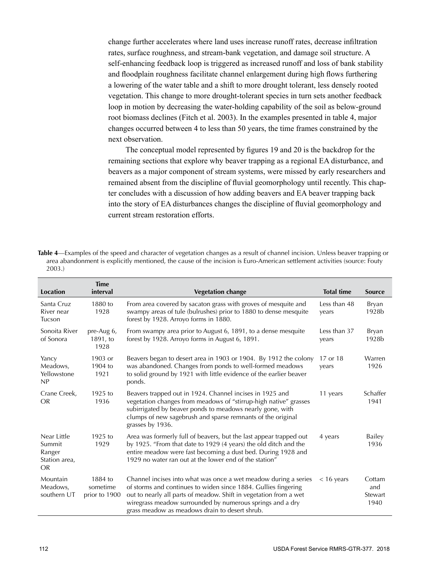change further accelerates where land uses increase runoff rates, decrease infiltration rates, surface roughness, and stream-bank vegetation, and damage soil structure. A self-enhancing feedback loop is triggered as increased runoff and loss of bank stability and floodplain roughness facilitate channel enlargement during high flows furthering a lowering of the water table and a shift to more drought tolerant, less densely rooted vegetation. This change to more drought-tolerant species in turn sets another feedback loop in motion by decreasing the water-holding capability of the soil as below-ground root biomass declines (Fitch et al. 2003). In the examples presented in table 4, major changes occurred between 4 to less than 50 years, the time frames constrained by the next observation.

The conceptual model represented by figures 19 and 20 is the backdrop for the remaining sections that explore why beaver trapping as a regional EA disturbance, and beavers as a major component of stream systems, were missed by early researchers and remained absent from the discipline of fluvial geomorphology until recently. This chapter concludes with a discussion of how adding beavers and EA beaver trapping back into the story of EA disturbances changes the discipline of fluvial geomorphology and current stream restoration efforts.

**Table 4**—Examples of the speed and character of vegetation changes as a result of channel incision. Unless beaver trapping or area abandonment is explicitly mentioned, the cause of the incision is Euro-American settlement activities (source: Fouty 2003.)

| <b>Location</b>                                               | <b>Time</b><br>interval              | <b>Vegetation change</b>                                                                                                                                                                                                                                                                                              | <b>Total time</b>     | <b>Source</b>                    |
|---------------------------------------------------------------|--------------------------------------|-----------------------------------------------------------------------------------------------------------------------------------------------------------------------------------------------------------------------------------------------------------------------------------------------------------------------|-----------------------|----------------------------------|
| Santa Cruz<br>River near<br>Tucson                            | 1880 to<br>1928                      | From area covered by sacaton grass with groves of mesquite and<br>swampy areas of tule (bulrushes) prior to 1880 to dense mesquite<br>forest by 1928. Arroyo forms in 1880.                                                                                                                                           | Less than 48<br>years | Bryan<br>1928b                   |
| Sonoita River<br>of Sonora                                    | pre-Aug 6,<br>1891, to<br>1928       | From swampy area prior to August 6, 1891, to a dense mesquite<br>forest by 1928. Arroyo forms in August 6, 1891.                                                                                                                                                                                                      | Less than 37<br>years | Bryan<br>1928b                   |
| Yancy<br>Meadows,<br>Yellowstone<br>NP                        | 1903 or<br>1904 to<br>1921           | Beavers began to desert area in 1903 or 1904. By 1912 the colony<br>was abandoned. Changes from ponds to well-formed meadows<br>to solid ground by 1921 with little evidence of the earlier beaver<br>ponds.                                                                                                          | 17 or 18<br>years     | Warren<br>1926                   |
| Crane Creek,<br><b>OR</b>                                     | $1925$ to<br>1936                    | Beavers trapped out in 1924. Channel incises in 1925 and<br>vegetation changes from meadows of "stirrup-high native" grasses<br>subirrigated by beaver ponds to meadows nearly gone, with<br>clumps of new sagebrush and sparse remnants of the original<br>grasses by 1936.                                          | 11 years              | Schaffer<br>1941                 |
| Near Little<br>Summit<br>Ranger<br>Station area,<br><b>OR</b> | $1925$ to<br>1929                    | Area was formerly full of beavers, but the last appear trapped out<br>by 1925. "From that date to 1929 (4 years) the old ditch and the<br>entire meadow were fast becoming a dust bed. During 1928 and<br>1929 no water ran out at the lower end of the station"                                                      | 4 years               | Bailey<br>1936                   |
| Mountain<br>Meadows,<br>southern UT                           | 1884 to<br>sometime<br>prior to 1900 | Channel incises into what was once a wet meadow during a series<br>of storms and continues to widen since 1884. Gullies fingering<br>out to nearly all parts of meadow. Shift in vegetation from a wet<br>wiregrass meadow surrounded by numerous springs and a dry<br>grass meadow as meadows drain to desert shrub. | $<$ 16 years          | Cottam<br>and<br>Stewart<br>1940 |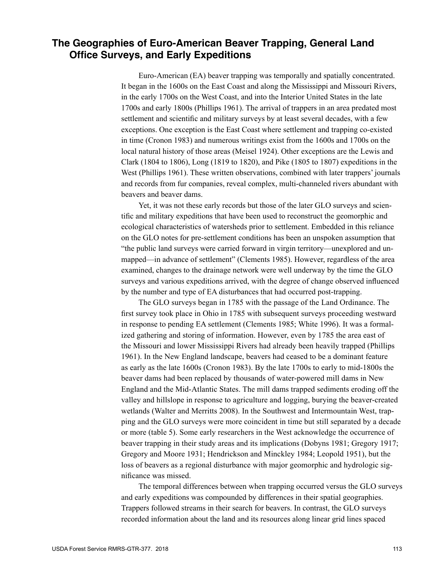# **The Geographies of Euro-American Beaver Trapping, General Land Office Surveys, and Early Expeditions**

Euro-American (EA) beaver trapping was temporally and spatially concentrated. It began in the 1600s on the East Coast and along the Mississippi and Missouri Rivers, in the early 1700s on the West Coast, and into the Interior United States in the late 1700s and early 1800s (Phillips 1961). The arrival of trappers in an area predated most settlement and scientific and military surveys by at least several decades, with a few exceptions. One exception is the East Coast where settlement and trapping co-existed in time (Cronon 1983) and numerous writings exist from the 1600s and 1700s on the local natural history of those areas (Meisel 1924). Other exceptions are the Lewis and Clark (1804 to 1806), Long (1819 to 1820), and Pike (1805 to 1807) expeditions in the West (Phillips 1961). These written observations, combined with later trappers' journals and records from fur companies, reveal complex, multi-channeled rivers abundant with beavers and beaver dams.

Yet, it was not these early records but those of the later GLO surveys and scientific and military expeditions that have been used to reconstruct the geomorphic and ecological characteristics of watersheds prior to settlement. Embedded in this reliance on the GLO notes for pre-settlement conditions has been an unspoken assumption that "the public land surveys were carried forward in virgin territory—unexplored and unmapped—in advance of settlement" (Clements 1985). However, regardless of the area examined, changes to the drainage network were well underway by the time the GLO surveys and various expeditions arrived, with the degree of change observed influenced by the number and type of EA disturbances that had occurred post-trapping.

The GLO surveys began in 1785 with the passage of the Land Ordinance. The first survey took place in Ohio in 1785 with subsequent surveys proceeding westward in response to pending EA settlement (Clements 1985; White 1996). It was a formalized gathering and storing of information. However, even by 1785 the area east of the Missouri and lower Mississippi Rivers had already been heavily trapped (Phillips 1961). In the New England landscape, beavers had ceased to be a dominant feature as early as the late 1600s (Cronon 1983). By the late 1700s to early to mid-1800s the beaver dams had been replaced by thousands of water-powered mill dams in New England and the Mid-Atlantic States. The mill dams trapped sediments eroding off the valley and hillslope in response to agriculture and logging, burying the beaver-created wetlands (Walter and Merritts 2008). In the Southwest and Intermountain West, trapping and the GLO surveys were more coincident in time but still separated by a decade or more (table 5). Some early researchers in the West acknowledge the occurrence of beaver trapping in their study areas and its implications (Dobyns 1981; Gregory 1917; Gregory and Moore 1931; Hendrickson and Minckley 1984; Leopold 1951), but the loss of beavers as a regional disturbance with major geomorphic and hydrologic significance was missed.

The temporal differences between when trapping occurred versus the GLO surveys and early expeditions was compounded by differences in their spatial geographies. Trappers followed streams in their search for beavers. In contrast, the GLO surveys recorded information about the land and its resources along linear grid lines spaced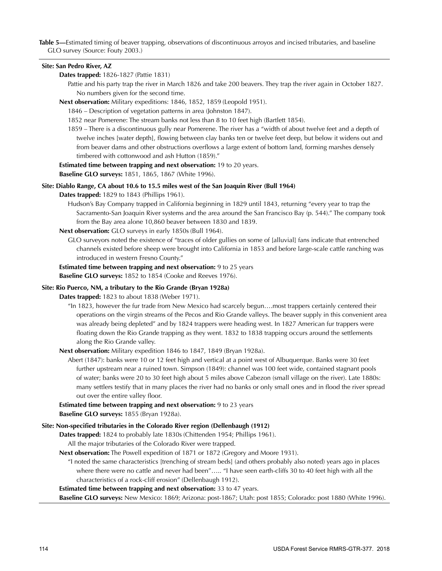**Table 5—**Estimated timing of beaver trapping, observations of discontinuous arroyos and incised tributaries, and baseline GLO survey (Source: Fouty 2003.)

#### **Site: San Pedro River, AZ**

#### **Dates trapped:** 1826-1827 (Pattie 1831)

Pattie and his party trap the river in March 1826 and take 200 beavers. They trap the river again in October 1827. No numbers given for the second time.

- **Next observation:** Military expeditions: 1846, 1852, 1859 (Leopold 1951).
	- 1846 Description of vegetation patterns in area (Johnston 1847).
	- 1852 near Pomerene: The stream banks not less than 8 to 10 feet high (Bartlett 1854).
	- 1859 There is a discontinuous gully near Pomerene. The river has a "width of about twelve feet and a depth of twelve inches [water depth], flowing between clay banks ten or twelve feet deep, but below it widens out and from beaver dams and other obstructions overflows a large extent of bottom land, forming marshes densely timbered with cottonwood and ash Hutton (1859)."
- **Estimated time between trapping and next observation:** 19 to 20 years.

**Baseline GLO surveys:** 1851, 1865, 1867 (White 1996).

#### **Site: Diablo Range, CA about 10.6 to 15.5 miles west of the San Joaquin River (Bull 1964)**

**Dates trapped:** 1829 to 1843 (Phillips 1961).

- Hudson's Bay Company trapped in California beginning in 1829 until 1843, returning "every year to trap the Sacramento-San Joaquin River systems and the area around the San Francisco Bay (p. 544)." The company took from the Bay area alone 10,860 beaver between 1830 and 1839.
- **Next observation:** GLO surveys in early 1850s (Bull 1964).
	- GLO surveyors noted the existence of "traces of older gullies on some of [alluvial] fans indicate that entrenched channels existed before sheep were brought into California in 1853 and before large-scale cattle ranching was introduced in western Fresno County."

#### **Estimated time between trapping and next observation:** 9 to 25 years

**Baseline GLO surveys:** 1852 to 1854 (Cooke and Reeves 1976).

#### **Site: Rio Puerco, NM, a tributary to the Rio Grande (Bryan 1928a)**

**Dates trapped:** 1823 to about 1838 (Weber 1971).

- "In 1823, however the fur trade from New Mexico had scarcely begun….most trappers certainly centered their operations on the virgin streams of the Pecos and Rio Grande valleys. The beaver supply in this convenient area was already being depleted" and by 1824 trappers were heading west. In 1827 American fur trappers were floating down the Rio Grande trapping as they went. 1832 to 1838 trapping occurs around the settlements along the Rio Grande valley.
- **Next observation:** Military expedition 1846 to 1847, 1849 (Bryan 1928a).
	- Abert (1847): banks were 10 or 12 feet high and vertical at a point west of Albuquerque. Banks were 30 feet further upstream near a ruined town. Simpson (1849): channel was 100 feet wide, contained stagnant pools of water; banks were 20 to 30 feet high about 5 miles above Cabezon (small village on the river). Late 1880s: many settlers testify that in many places the river had no banks or only small ones and in flood the river spread out over the entire valley floor.

### **Estimated time between trapping and next observation:** 9 to 23 years

**Baseline GLO surveys:** 1855 (Bryan 1928a).

### **Site: Non-specified tributaries in the Colorado River region (Dellenbaugh (1912)**

**Dates trapped:** 1824 to probably late 1830s (Chittenden 1954; Phillips 1961).

- All the major tributaries of the Colorado River were trapped.
- **Next observation:** The Powell expedition of 1871 or 1872 (Gregory and Moore 1931).
	- "I noted the same characteristics [trenching of stream beds] (and others probably also noted) years ago in places where there were no cattle and never had been"….. "I have seen earth-cliffs 30 to 40 feet high with all the characteristics of a rock-cliff erosion" (Dellenbaugh 1912).

#### **Estimated time between trapping and next observation:** 33 to 47 years.

**Baseline GLO surveys:** New Mexico: 1869; Arizona: post-1867; Utah: post 1855; Colorado: post 1880 (White 1996).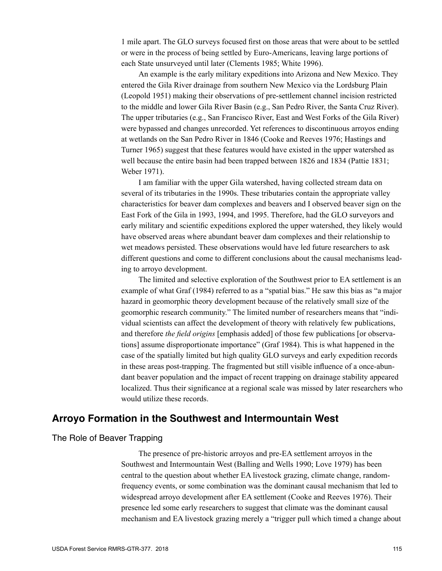1 mile apart. The GLO surveys focused first on those areas that were about to be settled or were in the process of being settled by Euro-Americans, leaving large portions of each State unsurveyed until later (Clements 1985; White 1996).

An example is the early military expeditions into Arizona and New Mexico. They entered the Gila River drainage from southern New Mexico via the Lordsburg Plain (Leopold 1951) making their observations of pre-settlement channel incision restricted to the middle and lower Gila River Basin (e.g., San Pedro River, the Santa Cruz River). The upper tributaries (e.g., San Francisco River, East and West Forks of the Gila River) were bypassed and changes unrecorded. Yet references to discontinuous arroyos ending at wetlands on the San Pedro River in 1846 (Cooke and Reeves 1976; Hastings and Turner 1965) suggest that these features would have existed in the upper watershed as well because the entire basin had been trapped between 1826 and 1834 (Pattie 1831; Weber 1971).

I am familiar with the upper Gila watershed, having collected stream data on several of its tributaries in the 1990s. These tributaries contain the appropriate valley characteristics for beaver dam complexes and beavers and I observed beaver sign on the East Fork of the Gila in 1993, 1994, and 1995. Therefore, had the GLO surveyors and early military and scientific expeditions explored the upper watershed, they likely would have observed areas where abundant beaver dam complexes and their relationship to wet meadows persisted. These observations would have led future researchers to ask different questions and come to different conclusions about the causal mechanisms leading to arroyo development.

The limited and selective exploration of the Southwest prior to EA settlement is an example of what Graf (1984) referred to as a "spatial bias." He saw this bias as "a major hazard in geomorphic theory development because of the relatively small size of the geomorphic research community." The limited number of researchers means that "individual scientists can affect the development of theory with relatively few publications, and therefore *the field origins* [emphasis added] of those few publications [or observations] assume disproportionate importance" (Graf 1984). This is what happened in the case of the spatially limited but high quality GLO surveys and early expedition records in these areas post-trapping. The fragmented but still visible influence of a once-abundant beaver population and the impact of recent trapping on drainage stability appeared localized. Thus their significance at a regional scale was missed by later researchers who would utilize these records.

### **Arroyo Formation in the Southwest and Intermountain West**

### The Role of Beaver Trapping

The presence of pre-historic arroyos and pre-EA settlement arroyos in the Southwest and Intermountain West (Balling and Wells 1990; Love 1979) has been central to the question about whether EA livestock grazing, climate change, randomfrequency events, or some combination was the dominant causal mechanism that led to widespread arroyo development after EA settlement (Cooke and Reeves 1976). Their presence led some early researchers to suggest that climate was the dominant causal mechanism and EA livestock grazing merely a "trigger pull which timed a change about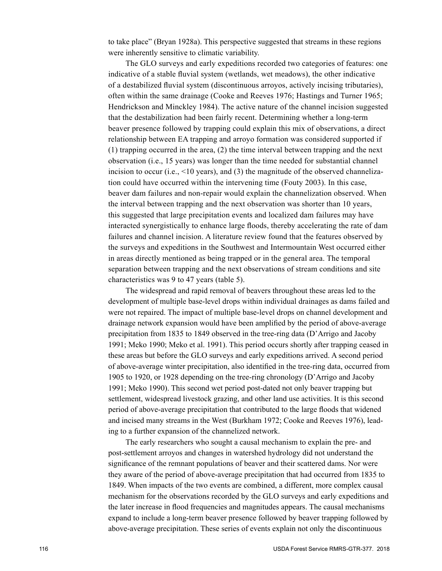to take place" (Bryan 1928a). This perspective suggested that streams in these regions were inherently sensitive to climatic variability.

The GLO surveys and early expeditions recorded two categories of features: one indicative of a stable fluvial system (wetlands, wet meadows), the other indicative of a destabilized fluvial system (discontinuous arroyos, actively incising tributaries), often within the same drainage (Cooke and Reeves 1976; Hastings and Turner 1965; Hendrickson and Minckley 1984). The active nature of the channel incision suggested that the destabilization had been fairly recent. Determining whether a long-term beaver presence followed by trapping could explain this mix of observations, a direct relationship between EA trapping and arroyo formation was considered supported if (1) trapping occurred in the area, (2) the time interval between trapping and the next observation (i.e., 15 years) was longer than the time needed for substantial channel incision to occur (i.e.,  $\leq 10$  years), and (3) the magnitude of the observed channelization could have occurred within the intervening time (Fouty 2003). In this case, beaver dam failures and non-repair would explain the channelization observed. When the interval between trapping and the next observation was shorter than 10 years, this suggested that large precipitation events and localized dam failures may have interacted synergistically to enhance large floods, thereby accelerating the rate of dam failures and channel incision. A literature review found that the features observed by the surveys and expeditions in the Southwest and Intermountain West occurred either in areas directly mentioned as being trapped or in the general area. The temporal separation between trapping and the next observations of stream conditions and site characteristics was 9 to 47 years (table 5).

The widespread and rapid removal of beavers throughout these areas led to the development of multiple base-level drops within individual drainages as dams failed and were not repaired. The impact of multiple base-level drops on channel development and drainage network expansion would have been amplified by the period of above-average precipitation from 1835 to 1849 observed in the tree-ring data (D'Arrigo and Jacoby 1991; Meko 1990; Meko et al. 1991). This period occurs shortly after trapping ceased in these areas but before the GLO surveys and early expeditions arrived. A second period of above-average winter precipitation, also identified in the tree-ring data, occurred from 1905 to 1920, or 1928 depending on the tree-ring chronology (D'Arrigo and Jacoby 1991; Meko 1990). This second wet period post-dated not only beaver trapping but settlement, widespread livestock grazing, and other land use activities. It is this second period of above-average precipitation that contributed to the large floods that widened and incised many streams in the West (Burkham 1972; Cooke and Reeves 1976), leading to a further expansion of the channelized network.

The early researchers who sought a causal mechanism to explain the pre- and post-settlement arroyos and changes in watershed hydrology did not understand the significance of the remnant populations of beaver and their scattered dams. Nor were they aware of the period of above-average precipitation that had occurred from 1835 to 1849. When impacts of the two events are combined, a different, more complex causal mechanism for the observations recorded by the GLO surveys and early expeditions and the later increase in flood frequencies and magnitudes appears. The causal mechanisms expand to include a long-term beaver presence followed by beaver trapping followed by above-average precipitation. These series of events explain not only the discontinuous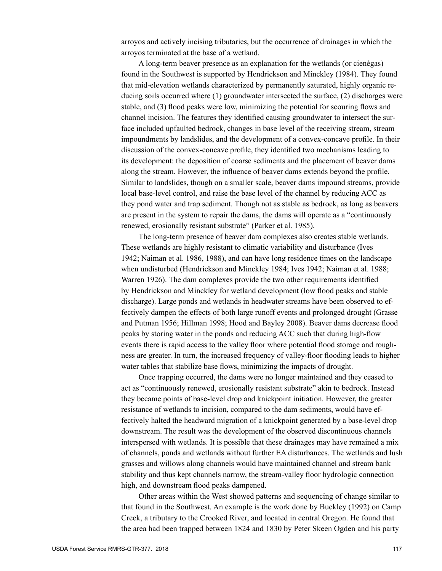arroyos and actively incising tributaries, but the occurrence of drainages in which the arroyos terminated at the base of a wetland.

A long-term beaver presence as an explanation for the wetlands (or cienégas) found in the Southwest is supported by Hendrickson and Minckley (1984). They found that mid-elevation wetlands characterized by permanently saturated, highly organic reducing soils occurred where (1) groundwater intersected the surface, (2) discharges were stable, and (3) flood peaks were low, minimizing the potential for scouring flows and channel incision. The features they identified causing groundwater to intersect the surface included upfaulted bedrock, changes in base level of the receiving stream, stream impoundments by landslides, and the development of a convex-concave profile. In their discussion of the convex-concave profile, they identified two mechanisms leading to its development: the deposition of coarse sediments and the placement of beaver dams along the stream. However, the influence of beaver dams extends beyond the profile. Similar to landslides, though on a smaller scale, beaver dams impound streams, provide local base-level control, and raise the base level of the channel by reducing ACC as they pond water and trap sediment. Though not as stable as bedrock, as long as beavers are present in the system to repair the dams, the dams will operate as a "continuously renewed, erosionally resistant substrate" (Parker et al. 1985).

The long-term presence of beaver dam complexes also creates stable wetlands. These wetlands are highly resistant to climatic variability and disturbance (Ives 1942; Naiman et al. 1986, 1988), and can have long residence times on the landscape when undisturbed (Hendrickson and Minckley 1984; Ives 1942; Naiman et al. 1988; Warren 1926). The dam complexes provide the two other requirements identified by Hendrickson and Minckley for wetland development (low flood peaks and stable discharge). Large ponds and wetlands in headwater streams have been observed to effectively dampen the effects of both large runoff events and prolonged drought (Grasse and Putman 1956; Hillman 1998; Hood and Bayley 2008). Beaver dams decrease flood peaks by storing water in the ponds and reducing ACC such that during high-flow events there is rapid access to the valley floor where potential flood storage and roughness are greater. In turn, the increased frequency of valley-floor flooding leads to higher water tables that stabilize base flows, minimizing the impacts of drought.

Once trapping occurred, the dams were no longer maintained and they ceased to act as "continuously renewed, erosionally resistant substrate" akin to bedrock. Instead they became points of base-level drop and knickpoint initiation. However, the greater resistance of wetlands to incision, compared to the dam sediments, would have effectively halted the headward migration of a knickpoint generated by a base-level drop downstream. The result was the development of the observed discontinuous channels interspersed with wetlands. It is possible that these drainages may have remained a mix of channels, ponds and wetlands without further EA disturbances. The wetlands and lush grasses and willows along channels would have maintained channel and stream bank stability and thus kept channels narrow, the stream-valley floor hydrologic connection high, and downstream flood peaks dampened.

Other areas within the West showed patterns and sequencing of change similar to that found in the Southwest. An example is the work done by Buckley (1992) on Camp Creek, a tributary to the Crooked River, and located in central Oregon. He found that the area had been trapped between 1824 and 1830 by Peter Skeen Ogden and his party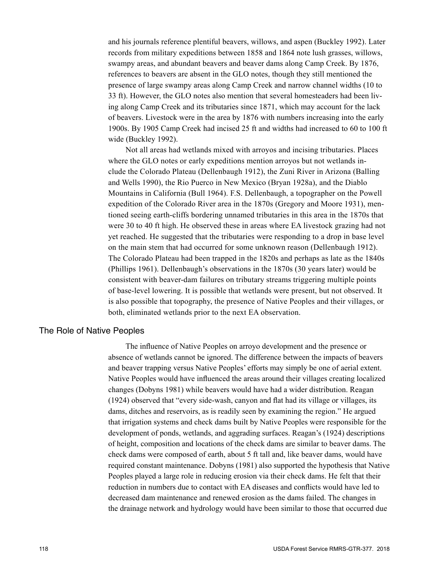and his journals reference plentiful beavers, willows, and aspen (Buckley 1992). Later records from military expeditions between 1858 and 1864 note lush grasses, willows, swampy areas, and abundant beavers and beaver dams along Camp Creek. By 1876, references to beavers are absent in the GLO notes, though they still mentioned the presence of large swampy areas along Camp Creek and narrow channel widths (10 to 33 ft). However, the GLO notes also mention that several homesteaders had been living along Camp Creek and its tributaries since 1871, which may account for the lack of beavers. Livestock were in the area by 1876 with numbers increasing into the early 1900s. By 1905 Camp Creek had incised 25 ft and widths had increased to 60 to 100 ft wide (Buckley 1992).

Not all areas had wetlands mixed with arroyos and incising tributaries. Places where the GLO notes or early expeditions mention arroyos but not wetlands include the Colorado Plateau (Dellenbaugh 1912), the Zuni River in Arizona (Balling and Wells 1990), the Rio Puerco in New Mexico (Bryan 1928a), and the Diablo Mountains in California (Bull 1964). F.S. Dellenbaugh, a topographer on the Powell expedition of the Colorado River area in the 1870s (Gregory and Moore 1931), mentioned seeing earth-cliffs bordering unnamed tributaries in this area in the 1870s that were 30 to 40 ft high. He observed these in areas where EA livestock grazing had not yet reached. He suggested that the tributaries were responding to a drop in base level on the main stem that had occurred for some unknown reason (Dellenbaugh 1912). The Colorado Plateau had been trapped in the 1820s and perhaps as late as the 1840s (Phillips 1961). Dellenbaugh's observations in the 1870s (30 years later) would be consistent with beaver-dam failures on tributary streams triggering multiple points of base-level lowering. It is possible that wetlands were present, but not observed. It is also possible that topography, the presence of Native Peoples and their villages, or both, eliminated wetlands prior to the next EA observation.

### The Role of Native Peoples

The influence of Native Peoples on arroyo development and the presence or absence of wetlands cannot be ignored. The difference between the impacts of beavers and beaver trapping versus Native Peoples' efforts may simply be one of aerial extent. Native Peoples would have influenced the areas around their villages creating localized changes (Dobyns 1981) while beavers would have had a wider distribution. Reagan (1924) observed that "every side-wash, canyon and flat had its village or villages, its dams, ditches and reservoirs, as is readily seen by examining the region." He argued that irrigation systems and check dams built by Native Peoples were responsible for the development of ponds, wetlands, and aggrading surfaces. Reagan's (1924) descriptions of height, composition and locations of the check dams are similar to beaver dams. The check dams were composed of earth, about 5 ft tall and, like beaver dams, would have required constant maintenance. Dobyns (1981) also supported the hypothesis that Native Peoples played a large role in reducing erosion via their check dams. He felt that their reduction in numbers due to contact with EA diseases and conflicts would have led to decreased dam maintenance and renewed erosion as the dams failed. The changes in the drainage network and hydrology would have been similar to those that occurred due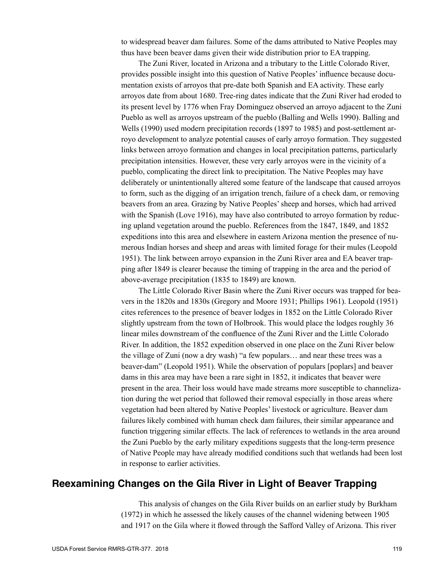to widespread beaver dam failures. Some of the dams attributed to Native Peoples may thus have been beaver dams given their wide distribution prior to EA trapping.

The Zuni River, located in Arizona and a tributary to the Little Colorado River, provides possible insight into this question of Native Peoples' influence because documentation exists of arroyos that pre-date both Spanish and EA activity. These early arroyos date from about 1680. Tree-ring dates indicate that the Zuni River had eroded to its present level by 1776 when Fray Dominguez observed an arroyo adjacent to the Zuni Pueblo as well as arroyos upstream of the pueblo (Balling and Wells 1990). Balling and Wells (1990) used modern precipitation records (1897 to 1985) and post-settlement arroyo development to analyze potential causes of early arroyo formation. They suggested links between arroyo formation and changes in local precipitation patterns, particularly precipitation intensities. However, these very early arroyos were in the vicinity of a pueblo, complicating the direct link to precipitation. The Native Peoples may have deliberately or unintentionally altered some feature of the landscape that caused arroyos to form, such as the digging of an irrigation trench, failure of a check dam, or removing beavers from an area. Grazing by Native Peoples' sheep and horses, which had arrived with the Spanish (Love 1916), may have also contributed to arroyo formation by reducing upland vegetation around the pueblo. References from the 1847, 1849, and 1852 expeditions into this area and elsewhere in eastern Arizona mention the presence of numerous Indian horses and sheep and areas with limited forage for their mules (Leopold 1951). The link between arroyo expansion in the Zuni River area and EA beaver trapping after 1849 is clearer because the timing of trapping in the area and the period of above-average precipitation (1835 to 1849) are known.

The Little Colorado River Basin where the Zuni River occurs was trapped for beavers in the 1820s and 1830s (Gregory and Moore 1931; Phillips 1961). Leopold (1951) cites references to the presence of beaver lodges in 1852 on the Little Colorado River slightly upstream from the town of Holbrook. This would place the lodges roughly 36 linear miles downstream of the confluence of the Zuni River and the Little Colorado River. In addition, the 1852 expedition observed in one place on the Zuni River below the village of Zuni (now a dry wash) "a few populars… and near these trees was a beaver-dam" (Leopold 1951). While the observation of populars [poplars] and beaver dams in this area may have been a rare sight in 1852, it indicates that beaver were present in the area. Their loss would have made streams more susceptible to channelization during the wet period that followed their removal especially in those areas where vegetation had been altered by Native Peoples' livestock or agriculture. Beaver dam failures likely combined with human check dam failures, their similar appearance and function triggering similar effects. The lack of references to wetlands in the area around the Zuni Pueblo by the early military expeditions suggests that the long-term presence of Native People may have already modified conditions such that wetlands had been lost in response to earlier activities.

### **Reexamining Changes on the Gila River in Light of Beaver Trapping**

This analysis of changes on the Gila River builds on an earlier study by Burkham (1972) in which he assessed the likely causes of the channel widening between 1905 and 1917 on the Gila where it flowed through the Safford Valley of Arizona. This river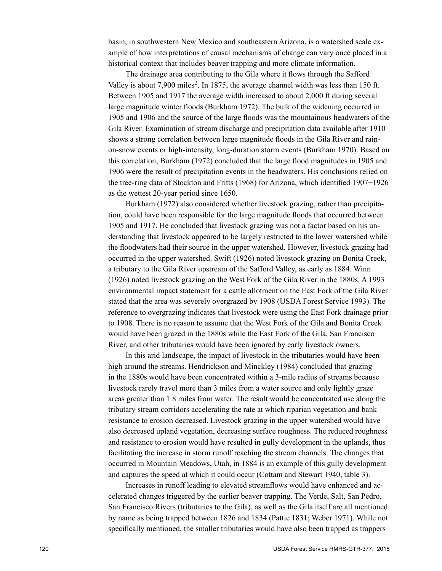basin, in southwestern New Mexico and southeastern Arizona, is a watershed scale example of how interpretations of causal mechanisms of change can vary once placed in a historical context that includes beaver trapping and more climate information.

The drainage area contributing to the Gila where it flows through the Safford Valley is about 7,900 miles<sup>2</sup>. In 1875, the average channel width was less than 150 ft. Between 1905 and 1917 the average width increased to about 2,000 ft during several large magnitude winter floods (Burkham 1972). The bulk of the widening occurred in 1905 and 1906 and the source of the large floods was the mountainous headwaters of the Gila River. Examination of stream discharge and precipitation data available after 1910 shows a strong correlation between large magnitude floods in the Gila River and rainon-snow events or high-intensity, long-duration storm events (Burkham 1970). Based on this correlation, Burkham (1972) concluded that the large flood magnitudes in 1905 and 1906 were the result of precipitation events in the headwaters. His conclusions relied on the tree-ring data of Stockton and Fritts (1968) for Arizona, which identified 1907−1926 as the wettest 20-year period since 1650.

Burkham (1972) also considered whether livestock grazing, rather than precipitation, could have been responsible for the large magnitude floods that occurred between 1905 and 1917. He concluded that livestock grazing was not a factor based on his understanding that livestock appeared to be largely restricted to the lower watershed while the floodwaters had their source in the upper watershed. However, livestock grazing had occurred in the upper watershed. Swift (1926) noted livestock grazing on Bonita Creek, a tributary to the Gila River upstream of the Safford Valley, as early as 1884. Winn (1926) noted livestock grazing on the West Fork of the Gila River in the 1880s. A 1993 environmental impact statement for a cattle allotment on the East Fork of the Gila River stated that the area was severely overgrazed by 1908 (USDA Forest Service 1993). The reference to overgrazing indicates that livestock were using the East Fork drainage prior to 1908. There is no reason to assume that the West Fork of the Gila and Bonita Creek would have been grazed in the 1880s while the East Fork of the Gila, San Francisco River, and other tributaries would have been ignored by early livestock owners.

In this arid landscape, the impact of livestock in the tributaries would have been high around the streams. Hendrickson and Minckley (1984) concluded that grazing in the 1880s would have been concentrated within a 3-mile radius of streams because livestock rarely travel more than 3 miles from a water source and only lightly graze areas greater than 1.8 miles from water. The result would be concentrated use along the tributary stream corridors accelerating the rate at which riparian vegetation and bank resistance to erosion decreased. Livestock grazing in the upper watershed would have also decreased upland vegetation, decreasing surface roughness. The reduced roughness and resistance to erosion would have resulted in gully development in the uplands, thus facilitating the increase in storm runoff reaching the stream channels. The changes that occurred in Mountain Meadows, Utah, in 1884 is an example of this gully development and captures the speed at which it could occur (Cottam and Stewart 1940, table 3).

Increases in runoff leading to elevated streamflows would have enhanced and accelerated changes triggered by the earlier beaver trapping. The Verde, Salt, San Pedro, San Francisco Rivers (tributaries to the Gila), as well as the Gila itself are all mentioned by name as being trapped between 1826 and 1834 (Pattie 1831; Weber 1971). While not specifically mentioned, the smaller tributaries would have also been trapped as trappers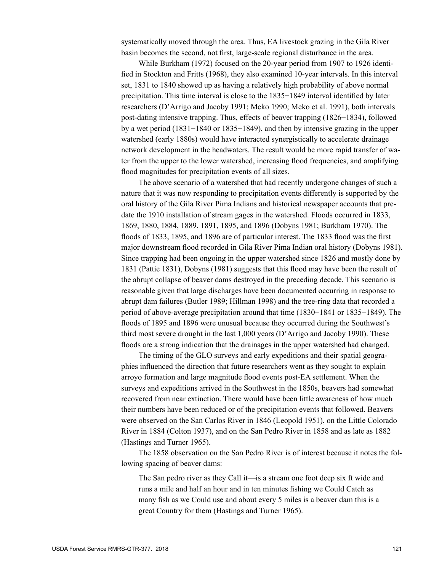systematically moved through the area. Thus, EA livestock grazing in the Gila River basin becomes the second, not first, large-scale regional disturbance in the area.

While Burkham (1972) focused on the 20-year period from 1907 to 1926 identified in Stockton and Fritts (1968), they also examined 10-year intervals. In this interval set, 1831 to 1840 showed up as having a relatively high probability of above normal precipitation. This time interval is close to the 1835−1849 interval identified by later researchers (D'Arrigo and Jacoby 1991; Meko 1990; Meko et al. 1991), both intervals post-dating intensive trapping. Thus, effects of beaver trapping (1826−1834), followed by a wet period (1831−1840 or 1835−1849), and then by intensive grazing in the upper watershed (early 1880s) would have interacted synergistically to accelerate drainage network development in the headwaters. The result would be more rapid transfer of water from the upper to the lower watershed, increasing flood frequencies, and amplifying flood magnitudes for precipitation events of all sizes.

The above scenario of a watershed that had recently undergone changes of such a nature that it was now responding to precipitation events differently is supported by the oral history of the Gila River Pima Indians and historical newspaper accounts that predate the 1910 installation of stream gages in the watershed. Floods occurred in 1833, 1869, 1880, 1884, 1889, 1891, 1895, and 1896 (Dobyns 1981; Burkham 1970). The floods of 1833, 1895, and 1896 are of particular interest. The 1833 flood was the first major downstream flood recorded in Gila River Pima Indian oral history (Dobyns 1981). Since trapping had been ongoing in the upper watershed since 1826 and mostly done by 1831 (Pattie 1831), Dobyns (1981) suggests that this flood may have been the result of the abrupt collapse of beaver dams destroyed in the preceding decade. This scenario is reasonable given that large discharges have been documented occurring in response to abrupt dam failures (Butler 1989; Hillman 1998) and the tree-ring data that recorded a period of above-average precipitation around that time (1830−1841 or 1835−1849). The floods of 1895 and 1896 were unusual because they occurred during the Southwest's third most severe drought in the last 1,000 years (D'Arrigo and Jacoby 1990). These floods are a strong indication that the drainages in the upper watershed had changed.

The timing of the GLO surveys and early expeditions and their spatial geographies influenced the direction that future researchers went as they sought to explain arroyo formation and large magnitude flood events post-EA settlement. When the surveys and expeditions arrived in the Southwest in the 1850s, beavers had somewhat recovered from near extinction. There would have been little awareness of how much their numbers have been reduced or of the precipitation events that followed. Beavers were observed on the San Carlos River in 1846 (Leopold 1951), on the Little Colorado River in 1884 (Colton 1937), and on the San Pedro River in 1858 and as late as 1882 (Hastings and Turner 1965).

The 1858 observation on the San Pedro River is of interest because it notes the following spacing of beaver dams:

The San pedro river as they Call it—is a stream one foot deep six ft wide and runs a mile and half an hour and in ten minutes fishing we Could Catch as many fish as we Could use and about every 5 miles is a beaver dam this is a great Country for them (Hastings and Turner 1965).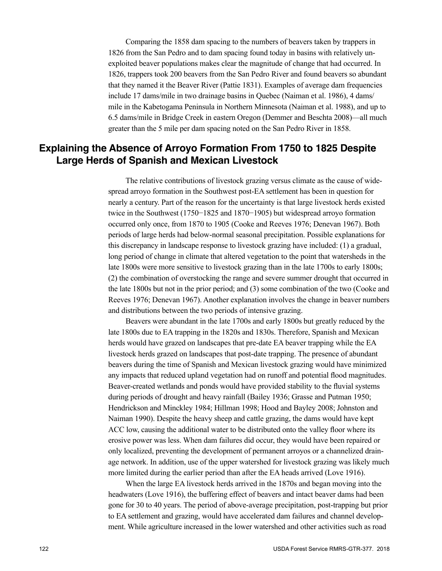Comparing the 1858 dam spacing to the numbers of beavers taken by trappers in 1826 from the San Pedro and to dam spacing found today in basins with relatively unexploited beaver populations makes clear the magnitude of change that had occurred. In 1826, trappers took 200 beavers from the San Pedro River and found beavers so abundant that they named it the Beaver River (Pattie 1831). Examples of average dam frequencies include 17 dams/mile in two drainage basins in Quebec (Naiman et al. 1986), 4 dams/ mile in the Kabetogama Peninsula in Northern Minnesota (Naiman et al. 1988), and up to 6.5 dams/mile in Bridge Creek in eastern Oregon (Demmer and Beschta 2008)—all much greater than the 5 mile per dam spacing noted on the San Pedro River in 1858.

# **Explaining the Absence of Arroyo Formation From 1750 to 1825 Despite Large Herds of Spanish and Mexican Livestock**

The relative contributions of livestock grazing versus climate as the cause of widespread arroyo formation in the Southwest post-EA settlement has been in question for nearly a century. Part of the reason for the uncertainty is that large livestock herds existed twice in the Southwest (1750−1825 and 1870−1905) but widespread arroyo formation occurred only once, from 1870 to 1905 (Cooke and Reeves 1976; Denevan 1967). Both periods of large herds had below-normal seasonal precipitation. Possible explanations for this discrepancy in landscape response to livestock grazing have included: (1) a gradual, long period of change in climate that altered vegetation to the point that watersheds in the late 1800s were more sensitive to livestock grazing than in the late 1700s to early 1800s; (2) the combination of overstocking the range and severe summer drought that occurred in the late 1800s but not in the prior period; and (3) some combination of the two (Cooke and Reeves 1976; Denevan 1967). Another explanation involves the change in beaver numbers and distributions between the two periods of intensive grazing.

Beavers were abundant in the late 1700s and early 1800s but greatly reduced by the late 1800s due to EA trapping in the 1820s and 1830s. Therefore, Spanish and Mexican herds would have grazed on landscapes that pre-date EA beaver trapping while the EA livestock herds grazed on landscapes that post-date trapping. The presence of abundant beavers during the time of Spanish and Mexican livestock grazing would have minimized any impacts that reduced upland vegetation had on runoff and potential flood magnitudes. Beaver-created wetlands and ponds would have provided stability to the fluvial systems during periods of drought and heavy rainfall (Bailey 1936; Grasse and Putman 1950; Hendrickson and Minckley 1984; Hillman 1998; Hood and Bayley 2008; Johnston and Naiman 1990). Despite the heavy sheep and cattle grazing, the dams would have kept ACC low, causing the additional water to be distributed onto the valley floor where its erosive power was less. When dam failures did occur, they would have been repaired or only localized, preventing the development of permanent arroyos or a channelized drainage network. In addition, use of the upper watershed for livestock grazing was likely much more limited during the earlier period than after the EA heads arrived (Love 1916).

When the large EA livestock herds arrived in the 1870s and began moving into the headwaters (Love 1916), the buffering effect of beavers and intact beaver dams had been gone for 30 to 40 years. The period of above-average precipitation, post-trapping but prior to EA settlement and grazing, would have accelerated dam failures and channel development. While agriculture increased in the lower watershed and other activities such as road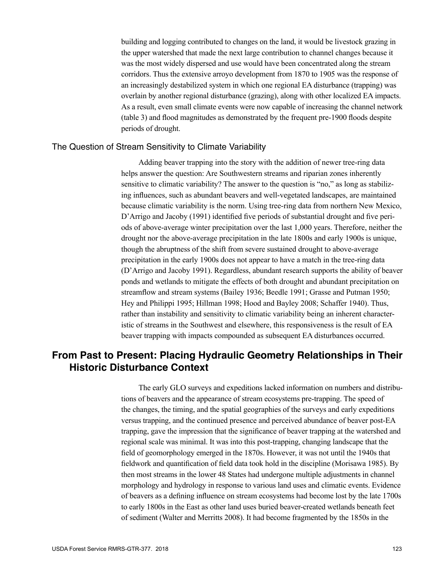building and logging contributed to changes on the land, it would be livestock grazing in the upper watershed that made the next large contribution to channel changes because it was the most widely dispersed and use would have been concentrated along the stream corridors. Thus the extensive arroyo development from 1870 to 1905 was the response of an increasingly destabilized system in which one regional EA disturbance (trapping) was overlain by another regional disturbance (grazing), along with other localized EA impacts. As a result, even small climate events were now capable of increasing the channel network (table 3) and flood magnitudes as demonstrated by the frequent pre-1900 floods despite periods of drought.

### The Question of Stream Sensitivity to Climate Variability

Adding beaver trapping into the story with the addition of newer tree-ring data helps answer the question: Are Southwestern streams and riparian zones inherently sensitive to climatic variability? The answer to the question is "no," as long as stabilizing influences, such as abundant beavers and well-vegetated landscapes, are maintained because climatic variability is the norm. Using tree-ring data from northern New Mexico, D'Arrigo and Jacoby (1991) identified five periods of substantial drought and five periods of above-average winter precipitation over the last 1,000 years. Therefore, neither the drought nor the above-average precipitation in the late 1800s and early 1900s is unique, though the abruptness of the shift from severe sustained drought to above-average precipitation in the early 1900s does not appear to have a match in the tree-ring data (D'Arrigo and Jacoby 1991). Regardless, abundant research supports the ability of beaver ponds and wetlands to mitigate the effects of both drought and abundant precipitation on streamflow and stream systems (Bailey 1936; Beedle 1991; Grasse and Putman 1950; Hey and Philippi 1995; Hillman 1998; Hood and Bayley 2008; Schaffer 1940). Thus, rather than instability and sensitivity to climatic variability being an inherent characteristic of streams in the Southwest and elsewhere, this responsiveness is the result of EA beaver trapping with impacts compounded as subsequent EA disturbances occurred.

# **From Past to Present: Placing Hydraulic Geometry Relationships in Their Historic Disturbance Context**

The early GLO surveys and expeditions lacked information on numbers and distributions of beavers and the appearance of stream ecosystems pre-trapping. The speed of the changes, the timing, and the spatial geographies of the surveys and early expeditions versus trapping, and the continued presence and perceived abundance of beaver post-EA trapping, gave the impression that the significance of beaver trapping at the watershed and regional scale was minimal. It was into this post-trapping, changing landscape that the field of geomorphology emerged in the 1870s. However, it was not until the 1940s that fieldwork and quantification of field data took hold in the discipline (Morisawa 1985). By then most streams in the lower 48 States had undergone multiple adjustments in channel morphology and hydrology in response to various land uses and climatic events. Evidence of beavers as a defining influence on stream ecosystems had become lost by the late 1700s to early 1800s in the East as other land uses buried beaver-created wetlands beneath feet of sediment (Walter and Merritts 2008). It had become fragmented by the 1850s in the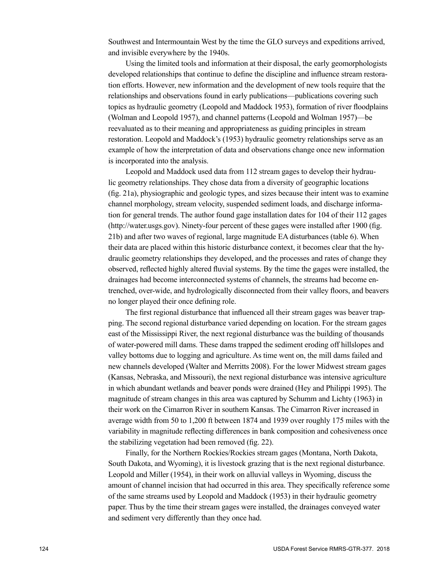Southwest and Intermountain West by the time the GLO surveys and expeditions arrived, and invisible everywhere by the 1940s.

Using the limited tools and information at their disposal, the early geomorphologists developed relationships that continue to define the discipline and influence stream restoration efforts. However, new information and the development of new tools require that the relationships and observations found in early publications—publications covering such topics as hydraulic geometry (Leopold and Maddock 1953), formation of river floodplains (Wolman and Leopold 1957), and channel patterns (Leopold and Wolman 1957)—be reevaluated as to their meaning and appropriateness as guiding principles in stream restoration. Leopold and Maddock's (1953) hydraulic geometry relationships serve as an example of how the interpretation of data and observations change once new information is incorporated into the analysis.

Leopold and Maddock used data from 112 stream gages to develop their hydraulic geometry relationships. They chose data from a diversity of geographic locations (fig. 21a), physiographic and geologic types, and sizes because their intent was to examine channel morphology, stream velocity, suspended sediment loads, and discharge information for general trends. The author found gage installation dates for 104 of their 112 gages ([http://water.usgs.gov](http://water.usgs.gove)). Ninety-four percent of these gages were installed after 1900 (fig. 21b) and after two waves of regional, large magnitude EA disturbances (table 6). When their data are placed within this historic disturbance context, it becomes clear that the hydraulic geometry relationships they developed, and the processes and rates of change they observed, reflected highly altered fluvial systems. By the time the gages were installed, the drainages had become interconnected systems of channels, the streams had become entrenched, over-wide, and hydrologically disconnected from their valley floors, and beavers no longer played their once defining role.

The first regional disturbance that influenced all their stream gages was beaver trapping. The second regional disturbance varied depending on location. For the stream gages east of the Mississippi River, the next regional disturbance was the building of thousands of water-powered mill dams. These dams trapped the sediment eroding off hillslopes and valley bottoms due to logging and agriculture. As time went on, the mill dams failed and new channels developed (Walter and Merritts 2008). For the lower Midwest stream gages (Kansas, Nebraska, and Missouri), the next regional disturbance was intensive agriculture in which abundant wetlands and beaver ponds were drained (Hey and Philippi 1995). The magnitude of stream changes in this area was captured by Schumm and Lichty (1963) in their work on the Cimarron River in southern Kansas. The Cimarron River increased in average width from 50 to 1,200 ft between 1874 and 1939 over roughly 175 miles with the variability in magnitude reflecting differences in bank composition and cohesiveness once the stabilizing vegetation had been removed (fig. 22).

Finally, for the Northern Rockies/Rockies stream gages (Montana, North Dakota, South Dakota, and Wyoming), it is livestock grazing that is the next regional disturbance. Leopold and Miller (1954), in their work on alluvial valleys in Wyoming, discuss the amount of channel incision that had occurred in this area. They specifically reference some of the same streams used by Leopold and Maddock (1953) in their hydraulic geometry paper. Thus by the time their stream gages were installed, the drainages conveyed water and sediment very differently than they once had.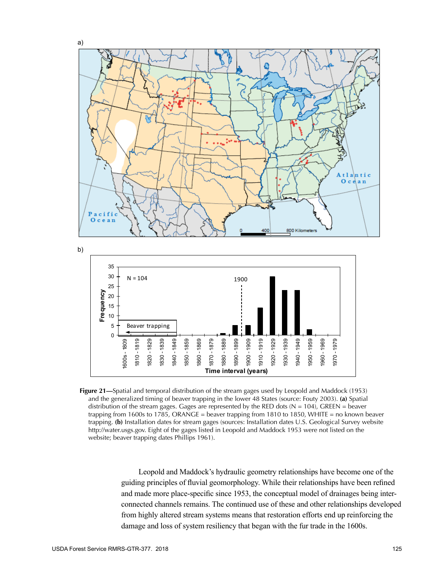

**Figure 21—**Spatial and temporal distribution of the stream gages used by Leopold and Maddock (1953) and the generalized timing of beaver trapping in the lower 48 States (source: Fouty 2003). **(a)** Spatial distribution of the stream gages. Gages are represented by the RED dots  $(N = 104)$ , GREEN = beaver trapping from 1600s to 1785, ORANGE = beaver trapping from 1810 to 1850, WHITE = no known beaver trapping. **(b)** Installation dates for stream gages (sources: Installation dates U.S. Geological Survey website http://water.usgs.gov. Eight of the gages listed in Leopold and Maddock 1953 were not listed on the website; beaver trapping dates Phillips 1961).

Leopold and Maddock's hydraulic geometry relationships have become one of the guiding principles of fluvial geomorphology. While their relationships have been refined and made more place-specific since 1953, the conceptual model of drainages being interconnected channels remains. The continued use of these and other relationships developed from highly altered stream systems means that restoration efforts end up reinforcing the damage and loss of system resiliency that began with the fur trade in the 1600s.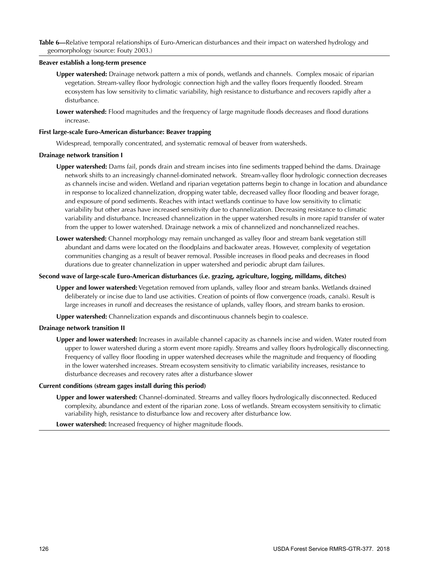### **Beaver establish a long-term presence**

- **Upper watershed:** Drainage network pattern a mix of ponds, wetlands and channels. Complex mosaic of riparian vegetation. Stream-valley floor hydrologic connection high and the valley floors frequently flooded. Stream ecosystem has low sensitivity to climatic variability, high resistance to disturbance and recovers rapidly after a disturbance.
- **Lower watershed:** Flood magnitudes and the frequency of large magnitude floods decreases and flood durations increase.

#### **First large-scale Euro-American disturbance: Beaver trapping**

Widespread, temporally concentrated, and systematic removal of beaver from watersheds.

#### **Drainage network transition I**

- **Upper watershed:** Dams fail, ponds drain and stream incises into fine sediments trapped behind the dams. Drainage network shifts to an increasingly channel-dominated network. Stream-valley floor hydrologic connection decreases as channels incise and widen. Wetland and riparian vegetation patterns begin to change in location and abundance in response to localized channelization, dropping water table, decreased valley floor flooding and beaver forage, and exposure of pond sediments. Reaches with intact wetlands continue to have low sensitivity to climatic variability but other areas have increased sensitivity due to channelization. Decreasing resistance to climatic variability and disturbance. Increased channelization in the upper watershed results in more rapid transfer of water from the upper to lower watershed. Drainage network a mix of channelized and nonchannelized reaches.
- **Lower watershed:** Channel morphology may remain unchanged as valley floor and stream bank vegetation still abundant and dams were located on the floodplains and backwater areas. However, complexity of vegetation communities changing as a result of beaver removal. Possible increases in flood peaks and decreases in flood durations due to greater channelization in upper watershed and periodic abrupt dam failures.

#### **Second wave of large-scale Euro-American disturbances (i.e. grazing, agriculture, logging, milldams, ditches)**

**Upper and lower watershed:** Vegetation removed from uplands, valley floor and stream banks. Wetlands drained deliberately or incise due to land use activities. Creation of points of flow convergence (roads, canals). Result is large increases in runoff and decreases the resistance of uplands, valley floors, and stream banks to erosion.

**Upper watershed:** Channelization expands and discontinuous channels begin to coalesce.

#### **Drainage network transition II**

**Upper and lower watershed:** Increases in available channel capacity as channels incise and widen. Water routed from upper to lower watershed during a storm event more rapidly. Streams and valley floors hydrologically disconnecting. Frequency of valley floor flooding in upper watershed decreases while the magnitude and frequency of flooding in the lower watershed increases. Stream ecosystem sensitivity to climatic variability increases, resistance to disturbance decreases and recovery rates after a disturbance slower

#### **Current conditions (stream gages install during this period)**

**Upper and lower watershed:** Channel-dominated. Streams and valley floors hydrologically disconnected. Reduced complexity, abundance and extent of the riparian zone. Loss of wetlands. Stream ecosystem sensitivity to climatic variability high, resistance to disturbance low and recovery after disturbance low.

**Lower watershed:** Increased frequency of higher magnitude floods.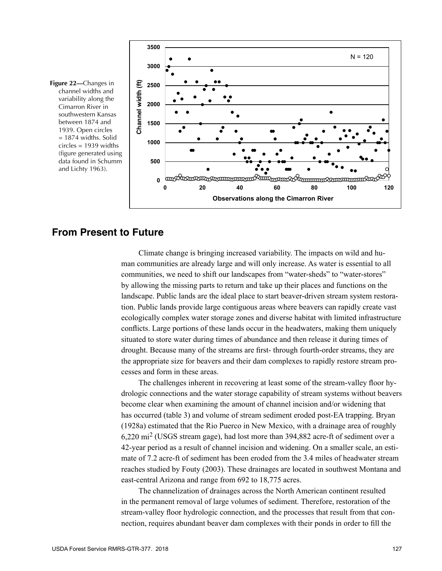



### **From Present to Future**

Climate change is bringing increased variability. The impacts on wild and human communities are already large and will only increase. As water is essential to all communities, we need to shift our landscapes from "water-sheds" to "water-stores" by allowing the missing parts to return and take up their places and functions on the landscape. Public lands are the ideal place to start beaver-driven stream system restoration. Public lands provide large contiguous areas where beavers can rapidly create vast ecologically complex water storage zones and diverse habitat with limited infrastructure conflicts. Large portions of these lands occur in the headwaters, making them uniquely situated to store water during times of abundance and then release it during times of drought. Because many of the streams are first- through fourth-order streams, they are the appropriate size for beavers and their dam complexes to rapidly restore stream processes and form in these areas.

The challenges inherent in recovering at least some of the stream-valley floor hydrologic connections and the water storage capability of stream systems without beavers become clear when examining the amount of channel incision and/or widening that has occurred (table 3) and volume of stream sediment eroded post-EA trapping. Bryan (1928a) estimated that the Rio Puerco in New Mexico, with a drainage area of roughly 6,220 mi2 (USGS stream gage), had lost more than 394,882 acre-ft of sediment over a 42-year period as a result of channel incision and widening. On a smaller scale, an estimate of 7.2 acre-ft of sediment has been eroded from the 3.4 miles of headwater stream reaches studied by Fouty (2003). These drainages are located in southwest Montana and east-central Arizona and range from 692 to 18,775 acres.

The channelization of drainages across the North American continent resulted in the permanent removal of large volumes of sediment. Therefore, restoration of the stream-valley floor hydrologic connection, and the processes that result from that connection, requires abundant beaver dam complexes with their ponds in order to fill the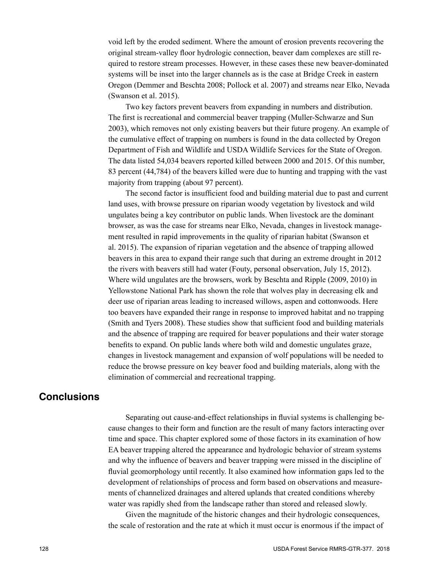void left by the eroded sediment. Where the amount of erosion prevents recovering the original stream-valley floor hydrologic connection, beaver dam complexes are still required to restore stream processes. However, in these cases these new beaver-dominated systems will be inset into the larger channels as is the case at Bridge Creek in eastern Oregon (Demmer and Beschta 2008; Pollock et al. 2007) and streams near Elko, Nevada (Swanson et al. 2015).

Two key factors prevent beavers from expanding in numbers and distribution. The first is recreational and commercial beaver trapping (Muller-Schwarze and Sun 2003), which removes not only existing beavers but their future progeny. An example of the cumulative effect of trapping on numbers is found in the data collected by Oregon Department of Fish and Wildlife and USDA Wildlife Services for the State of Oregon. The data listed 54,034 beavers reported killed between 2000 and 2015. Of this number, 83 percent (44,784) of the beavers killed were due to hunting and trapping with the vast majority from trapping (about 97 percent).

The second factor is insufficient food and building material due to past and current land uses, with browse pressure on riparian woody vegetation by livestock and wild ungulates being a key contributor on public lands. When livestock are the dominant browser, as was the case for streams near Elko, Nevada, changes in livestock management resulted in rapid improvements in the quality of riparian habitat (Swanson et al. 2015). The expansion of riparian vegetation and the absence of trapping allowed beavers in this area to expand their range such that during an extreme drought in 2012 the rivers with beavers still had water (Fouty, personal observation, July 15, 2012). Where wild ungulates are the browsers, work by Beschta and Ripple (2009, 2010) in Yellowstone National Park has shown the role that wolves play in decreasing elk and deer use of riparian areas leading to increased willows, aspen and cottonwoods. Here too beavers have expanded their range in response to improved habitat and no trapping (Smith and Tyers 2008). These studies show that sufficient food and building materials and the absence of trapping are required for beaver populations and their water storage benefits to expand. On public lands where both wild and domestic ungulates graze, changes in livestock management and expansion of wolf populations will be needed to reduce the browse pressure on key beaver food and building materials, along with the elimination of commercial and recreational trapping.

## **Conclusions**

Separating out cause-and-effect relationships in fluvial systems is challenging because changes to their form and function are the result of many factors interacting over time and space. This chapter explored some of those factors in its examination of how EA beaver trapping altered the appearance and hydrologic behavior of stream systems and why the influence of beavers and beaver trapping were missed in the discipline of fluvial geomorphology until recently. It also examined how information gaps led to the development of relationships of process and form based on observations and measurements of channelized drainages and altered uplands that created conditions whereby water was rapidly shed from the landscape rather than stored and released slowly.

Given the magnitude of the historic changes and their hydrologic consequences, the scale of restoration and the rate at which it must occur is enormous if the impact of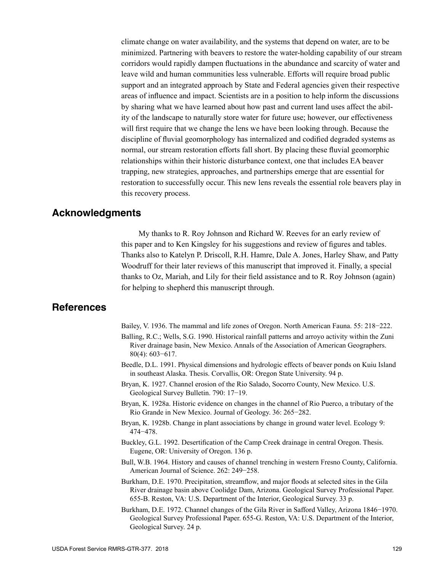climate change on water availability, and the systems that depend on water, are to be minimized. Partnering with beavers to restore the water-holding capability of our stream corridors would rapidly dampen fluctuations in the abundance and scarcity of water and leave wild and human communities less vulnerable. Efforts will require broad public support and an integrated approach by State and Federal agencies given their respective areas of influence and impact. Scientists are in a position to help inform the discussions by sharing what we have learned about how past and current land uses affect the ability of the landscape to naturally store water for future use; however, our effectiveness will first require that we change the lens we have been looking through. Because the discipline of fluvial geomorphology has internalized and codified degraded systems as normal, our stream restoration efforts fall short. By placing these fluvial geomorphic relationships within their historic disturbance context, one that includes EA beaver trapping, new strategies, approaches, and partnerships emerge that are essential for restoration to successfully occur. This new lens reveals the essential role beavers play in this recovery process.

### **Acknowledgments**

My thanks to R. Roy Johnson and Richard W. Reeves for an early review of this paper and to Ken Kingsley for his suggestions and review of figures and tables. Thanks also to Katelyn P. Driscoll, R.H. Hamre, Dale A. Jones, Harley Shaw, and Patty Woodruff for their later reviews of this manuscript that improved it. Finally, a special thanks to Oz, Mariah, and Lily for their field assistance and to R. Roy Johnson (again) for helping to shepherd this manuscript through.

### **References**

Bailey, V. 1936. The mammal and life zones of Oregon. North American Fauna. 55: 218−222.

- Balling, R.C.; Wells, S.G. 1990. Historical rainfall patterns and arroyo activity within the Zuni River drainage basin, New Mexico. Annals of the Association of American Geographers. 80(4): 603−617.
- Beedle, D.L. 1991. Physical dimensions and hydrologic effects of beaver ponds on Kuiu Island in southeast Alaska. Thesis. Corvallis, OR: Oregon State University. 94 p.
- Bryan, K. 1927. Channel erosion of the Rio Salado, Socorro County, New Mexico. U.S. Geological Survey Bulletin. 790: 17−19.
- Bryan, K. 1928a. Historic evidence on changes in the channel of Rio Puerco, a tributary of the Rio Grande in New Mexico. Journal of Geology. 36: 265−282.
- Bryan, K. 1928b. Change in plant associations by change in ground water level. Ecology 9: 474−478.
- Buckley, G.L. 1992. Desertification of the Camp Creek drainage in central Oregon. Thesis. Eugene, OR: University of Oregon. 136 p.
- Bull, W.B. 1964. History and causes of channel trenching in western Fresno County, California. American Journal of Science. 262: 249−258.
- Burkham, D.E. 1970. Precipitation, streamflow, and major floods at selected sites in the Gila River drainage basin above Coolidge Dam, Arizona. Geological Survey Professional Paper. 655-B. Reston, VA: U.S. Department of the Interior, Geological Survey. 33 p.
- Burkham, D.E. 1972. Channel changes of the Gila River in Safford Valley, Arizona 1846−1970. Geological Survey Professional Paper. 655-G. Reston, VA: U.S. Department of the Interior, Geological Survey. 24 p.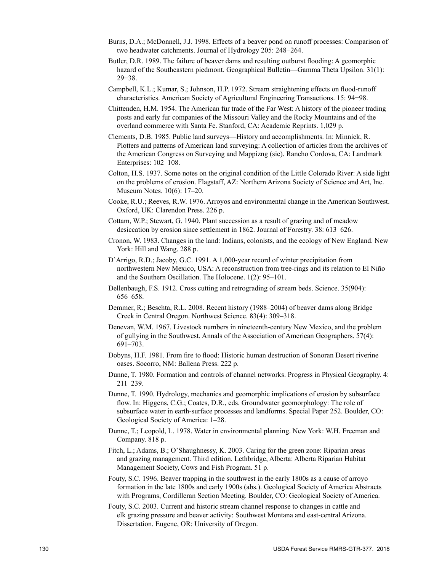- Burns, D.A.; McDonnell, J.J. 1998. Effects of a beaver pond on runoff processes: Comparison of two headwater catchments. Journal of Hydrology 205: 248−264.
- Butler, D.R. 1989. The failure of beaver dams and resulting outburst flooding: A geomorphic hazard of the Southeastern piedmont. Geographical Bulletin—Gamma Theta Upsilon. 31(1): 29−38.
- Campbell, K.L.; Kumar, S.; Johnson, H.P. 1972. Stream straightening effects on flood-runoff characteristics. American Society of Agricultural Engineering Transactions. 15: 94−98.
- Chittenden, H.M. 1954. The American fur trade of the Far West: A history of the pioneer trading posts and early fur companies of the Missouri Valley and the Rocky Mountains and of the overland commerce with Santa Fe. Stanford, CA: Academic Reprints. 1,029 p.
- Clements, D.B. 1985. Public land surveys—History and accomplishments. In: Minnick, R. Plotters and patterns of American land surveying: A collection of articles from the archives of the American Congress on Surveying and Mappizng (sic). Rancho Cordova, CA: Landmark Enterprises: 102–108.
- Colton, H.S. 1937. Some notes on the original condition of the Little Colorado River: A side light on the problems of erosion. Flagstaff, AZ: Northern Arizona Society of Science and Art, Inc. Museum Notes. 10(6): 17–20.
- Cooke, R.U.; Reeves, R.W. 1976. Arroyos and environmental change in the American Southwest. Oxford, UK: Clarendon Press. 226 p.
- Cottam, W.P.; Stewart, G. 1940. Plant succession as a result of grazing and of meadow desiccation by erosion since settlement in 1862. Journal of Forestry. 38: 613–626.
- Cronon, W. 1983. Changes in the land: Indians, colonists, and the ecology of New England. New York: Hill and Wang. 288 p.
- D'Arrigo, R.D.; Jacoby, G.C. 1991. A 1,000-year record of winter precipitation from northwestern New Mexico, USA: A reconstruction from tree-rings and its relation to El Niño and the Southern Oscillation. The Holocene. 1(2): 95–101.
- Dellenbaugh, F.S. 1912. Cross cutting and retrograding of stream beds. Science. 35(904): 656–658.
- Demmer, R.; Beschta, R.L. 2008. Recent history (1988–2004) of beaver dams along Bridge Creek in Central Oregon. Northwest Science. 83(4): 309–318.
- Denevan, W.M. 1967. Livestock numbers in nineteenth-century New Mexico, and the problem of gullying in the Southwest. Annals of the Association of American Geographers. 57(4): 691–703.
- Dobyns, H.F. 1981. From fire to flood: Historic human destruction of Sonoran Desert riverine oases. Socorro, NM: Ballena Press. 222 p.
- Dunne, T. 1980. Formation and controls of channel networks. Progress in Physical Geography. 4: 211–239.
- Dunne, T. 1990. Hydrology, mechanics and geomorphic implications of erosion by subsurface flow. In: Higgens, C.G.; Coates, D.R., eds. Groundwater geomorphology: The role of subsurface water in earth-surface processes and landforms. Special Paper 252. Boulder, CO: Geological Society of America: 1–28.
- Dunne, T.; Leopold, L. 1978. Water in environmental planning. New York: W.H. Freeman and Company. 818 p.
- Fitch, L.; Adams, B.; O'Shaughnessy, K. 2003. Caring for the green zone: Riparian areas and grazing management. Third edition. Lethbridge, Alberta: Alberta Riparian Habitat Management Society, Cows and Fish Program. 51 p.
- Fouty, S.C. 1996. Beaver trapping in the southwest in the early 1800s as a cause of arroyo formation in the late 1800s and early 1900s (abs.). Geological Society of America Abstracts with Programs, Cordilleran Section Meeting. Boulder, CO: Geological Society of America.
- Fouty, S.C. 2003. Current and historic stream channel response to changes in cattle and elk grazing pressure and beaver activity: Southwest Montana and east-central Arizona. Dissertation. Eugene, OR: University of Oregon.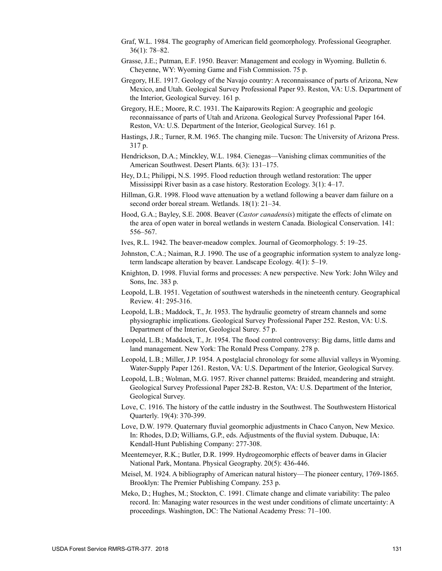- Graf, W.L. 1984. The geography of American field geomorphology. Professional Geographer. 36(1): 78‒82.
- Grasse, J.E.; Putman, E.F. 1950. Beaver: Management and ecology in Wyoming. Bulletin 6. Cheyenne, WY: Wyoming Game and Fish Commission. 75 p.
- Gregory, H.E. 1917. Geology of the Navajo country: A reconnaissance of parts of Arizona, New Mexico, and Utah. Geological Survey Professional Paper 93. Reston, VA: U.S. Department of the Interior, Geological Survey. 161 p.
- Gregory, H.E.; Moore, R.C. 1931. The Kaiparowits Region: A geographic and geologic reconnaissance of parts of Utah and Arizona. Geological Survey Professional Paper 164. Reston, VA: U.S. Department of the Interior, Geological Survey. 161 p.
- Hastings, J.R.; Turner, R.M. 1965. The changing mile. Tucson: The University of Arizona Press. 317 p.
- Hendrickson, D.A.; Minckley, W.L. 1984. Cienegas—Vanishing climax communities of the American Southwest. Desert Plants. 6(3): 131–175.
- Hey, D.L; Philippi, N.S. 1995. Flood reduction through wetland restoration: The upper Mississippi River basin as a case history. Restoration Ecology.  $3(1)$ : 4–17.
- Hillman, G.R. 1998. Flood wave attenuation by a wetland following a beaver dam failure on a second order boreal stream. Wetlands. 18(1): 21–34.
- Hood, G.A.; Bayley, S.E. 2008. Beaver (*Castor canadensis*) mitigate the effects of climate on the area of open water in boreal wetlands in western Canada. Biological Conservation. 141: 556‒567.
- Ives, R.L. 1942. The beaver-meadow complex. Journal of Geomorphology. 5: 19–25.
- Johnston, C.A.; Naiman, R.J. 1990. The use of a geographic information system to analyze longterm landscape alteration by beaver. Landscape Ecology. 4(1): 5–19.
- Knighton, D. 1998. Fluvial forms and processes: A new perspective. New York: John Wiley and Sons, Inc. 383 p.
- Leopold, L.B. 1951. Vegetation of southwest watersheds in the nineteenth century. Geographical Review. 41: 295-316.
- Leopold, L.B.; Maddock, T., Jr. 1953. The hydraulic geometry of stream channels and some physiographic implications. Geological Survey Professional Paper 252. Reston, VA: U.S. Department of the Interior, Geological Surey. 57 p.
- Leopold, L.B.; Maddock, T., Jr. 1954. The flood control controversy: Big dams, little dams and land management. New York: The Ronald Press Company. 278 p.
- Leopold, L.B.; Miller, J.P. 1954. A postglacial chronology for some alluvial valleys in Wyoming. Water-Supply Paper 1261. Reston, VA: U.S. Department of the Interior, Geological Survey.
- Leopold, L.B.; Wolman, M.G. 1957. River channel patterns: Braided, meandering and straight. Geological Survey Professional Paper 282-B. Reston, VA: U.S. Department of the Interior, Geological Survey.
- Love, C. 1916. The history of the cattle industry in the Southwest. The Southwestern Historical Quarterly. 19(4): 370-399.
- Love, D.W. 1979. Quaternary fluvial geomorphic adjustments in Chaco Canyon, New Mexico. In: Rhodes, D.D; Williams, G.P., eds. Adjustments of the fluvial system. Dubuque, IA: Kendall-Hunt Publishing Company: 277-308.
- Meentemeyer, R.K.; Butler, D.R. 1999. Hydrogeomorphic effects of beaver dams in Glacier National Park, Montana. Physical Geography. 20(5): 436-446.
- Meisel, M. 1924. A bibliography of American natural history—The pioneer century, 1769-1865. Brooklyn: The Premier Publishing Company. 253 p.
- Meko, D.; Hughes, M.; Stockton, C. 1991. Climate change and climate variability: The paleo record. In: Managing water resources in the west under conditions of climate uncertainty: A proceedings. Washington, DC: The National Academy Press: 71–100.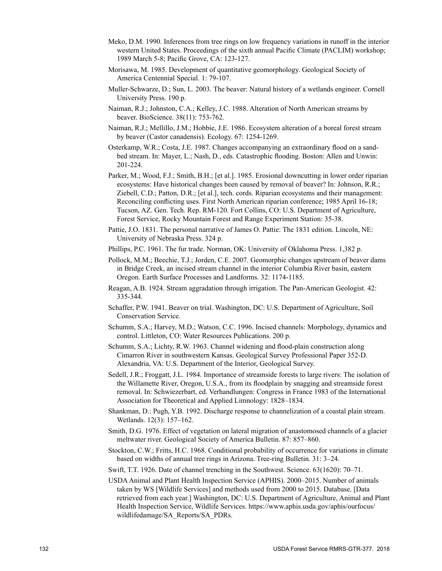- Meko, D.M. 1990. Inferences from tree rings on low frequency variations in runoff in the interior western United States. Proceedings of the sixth annual Pacific Climate (PACLIM) workshop; 1989 March 5-8; Pacific Grove, CA: 123-127.
- Morisawa, M. 1985. Development of quantitative geomorphology. Geological Society of America Centennial Special. 1: 79-107.
- Muller-Schwarze, D.; Sun, L. 2003. The beaver: Natural history of a wetlands engineer. Cornell University Press. 190 p.
- Naiman, R.J.; Johnston, C.A.; Kelley, J.C. 1988. Alteration of North American streams by beaver. BioScience. 38(11): 753-762.
- Naiman, R.J.; Mellillo, J.M.; Hobbie, J.E. 1986. Ecosystem alteration of a boreal forest stream by beaver (Castor canadensis). Ecology. 67: 1254-1269.
- Osterkamp, W.R.; Costa, J.E. 1987. Changes accompanying an extraordinary flood on a sandbed stream. In: Mayer, L.; Nash, D., eds. Catastrophic flooding. Boston: Allen and Unwin: 201-224.
- Parker, M.; Wood, F.J.; Smith, B.H.; [et al.]. 1985. Erosional downcutting in lower order riparian ecosystems: Have historical changes been caused by removal of beaver? In: Johnson, R.R.; Ziebell, C.D.; Patton, D.R.; [et al.], tech. cords. Riparian ecosystems and their management: Reconciling conflicting uses. First North American riparian conference; 1985 April 16-18; Tucson, AZ. Gen. Tech. Rep. RM-120. Fort Collins, CO: U.S. Department of Agriculture, Forest Service, Rocky Mountain Forest and Range Experiment Station: 35-38.
- Pattie, J.O. 1831. The personal narrative of James O. Pattie: The 1831 edition. Lincoln, NE: University of Nebraska Press. 324 p.
- Phillips, P.C. 1961. The fur trade. Norman, OK: University of Oklahoma Press. 1,382 p.
- Pollock, M.M.; Beechie, T.J.; Jorden, C.E. 2007. Geomorphic changes upstream of beaver dams in Bridge Creek, an incised stream channel in the interior Columbia River basin, eastern Oregon. Earth Surface Processes and Landforms. 32: 1174-1185.
- Reagan, A.B. 1924. Stream aggradation through irrigation. The Pan-American Geologist. 42: 335-344.
- Schaffer, P.W. 1941. Beaver on trial. Washington, DC: U.S. Department of Agriculture, Soil Conservation Service.
- Schumm, S.A.; Harvey, M.D.; Watson, C.C. 1996. Incised channels: Morphology, dynamics and control. Littleton, CO: Water Resources Publications. 200 p.
- Schumm, S.A.; Lichty, R.W. 1963. Channel widening and flood-plain construction along Cimarron River in southwestern Kansas. Geological Survey Professional Paper 352-D. Alexandria, VA: U.S. Department of the Interior, Geological Survey.
- Sedell, J.R.; Froggatt, J.L. 1984. Importance of streamside forests to large rivers: The isolation of the Willamette River, Oregon, U.S.A., from its floodplain by snagging and streamside forest removal. In: Schwiezerbart, ed. Verhandlungen: Congress in France 1983 of the International Association for Theoretical and Applied Limnology: 1828–1834.
- Shankman, D.: Pugh, Y.B. 1992. Discharge response to channelization of a coastal plain stream. Wetlands. 12(3): 157–162.
- Smith, D.G. 1976. Effect of vegetation on lateral migration of anastomosed channels of a glacier meltwater river. Geological Society of America Bulletin. 87: 857–860.
- Stockton, C.W.; Fritts, H.C. 1968. Conditional probability of occurrence for variations in climate based on widths of annual tree rings in Arizona. Tree-ring Bulletin. 31: 3–24.
- Swift, T.T. 1926. Date of channel trenching in the Southwest. Science. 63(1620): 70–71.
- USDAAnimal and Plant Health Inspection Service (APHIS). 2000–2015. Number of animals taken by WS [Wildlife Services] and methods used from 2000 to 2015. Database. [Data retrieved from each year.] Washington, DC: U.S. Department of Agriculture, Animal and Plant Health Inspection Service, Wildlife Services. [https://www.aphis.usda.gov/aphis/ourfocus/](https://www.aphis.usda.gov/aphis/ourfocus/wildlifedamage/SA_Reports/SA_PDRs) [wildlifedamage/SA\\_Reports/SA\\_PDRs.](https://www.aphis.usda.gov/aphis/ourfocus/wildlifedamage/SA_Reports/SA_PDRs)